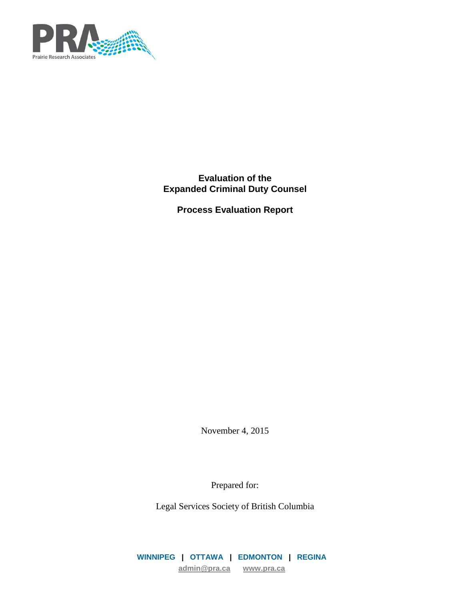

**Evaluation of the Expanded Criminal Duty Counsel**

**Process Evaluation Report**

November 4, 2015

Prepared for:

Legal Services Society of British Columbia

**WINNIPEG | OTTAWA | EDMONTON | REGINA [admin@pra.ca](mailto:admin@pra.ca) [www.pra.ca](http://www.pra.ca/)**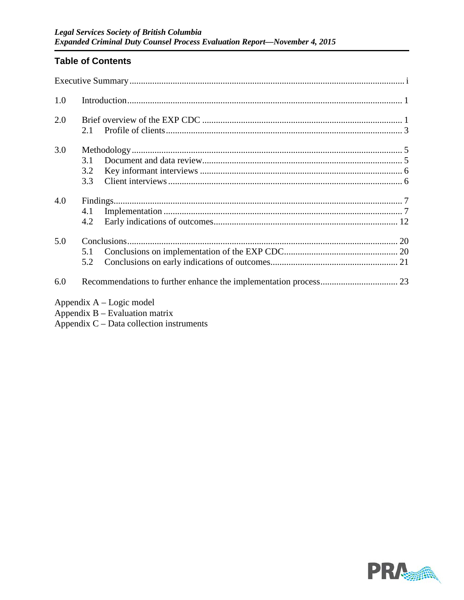# **Table of Contents**

| 1.0 |                   |                                                                |
|-----|-------------------|----------------------------------------------------------------|
| 2.0 | 2.1               |                                                                |
| 3.0 | 3.1<br>3.2<br>3.3 |                                                                |
| 4.0 | 4.1<br>4.2        |                                                                |
| 5.0 | 5.1<br>5.2        |                                                                |
| 6.0 |                   |                                                                |
|     |                   | Appendix $A - Logic$ model<br>Appendix $B -$ Evaluation matrix |

Appendix  $C$  – Data collection instruments

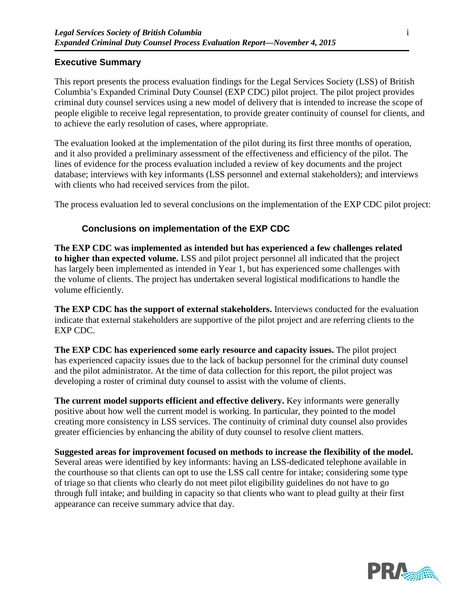## **Executive Summary**

This report presents the process evaluation findings for the Legal Services Society (LSS) of British Columbia's Expanded Criminal Duty Counsel (EXP CDC) pilot project. The pilot project provides criminal duty counsel services using a new model of delivery that is intended to increase the scope of people eligible to receive legal representation, to provide greater continuity of counsel for clients, and to achieve the early resolution of cases, where appropriate.

The evaluation looked at the implementation of the pilot during its first three months of operation, and it also provided a preliminary assessment of the effectiveness and efficiency of the pilot. The lines of evidence for the process evaluation included a review of key documents and the project database; interviews with key informants (LSS personnel and external stakeholders); and interviews with clients who had received services from the pilot.

The process evaluation led to several conclusions on the implementation of the EXP CDC pilot project:

## **Conclusions on implementation of the EXP CDC**

**The EXP CDC was implemented as intended but has experienced a few challenges related to higher than expected volume.** LSS and pilot project personnel all indicated that the project has largely been implemented as intended in Year 1, but has experienced some challenges with the volume of clients. The project has undertaken several logistical modifications to handle the volume efficiently.

**The EXP CDC has the support of external stakeholders.** Interviews conducted for the evaluation indicate that external stakeholders are supportive of the pilot project and are referring clients to the EXP CDC.

**The EXP CDC has experienced some early resource and capacity issues.** The pilot project has experienced capacity issues due to the lack of backup personnel for the criminal duty counsel and the pilot administrator. At the time of data collection for this report, the pilot project was developing a roster of criminal duty counsel to assist with the volume of clients.

**The current model supports efficient and effective delivery.** Key informants were generally positive about how well the current model is working. In particular, they pointed to the model creating more consistency in LSS services. The continuity of criminal duty counsel also provides greater efficiencies by enhancing the ability of duty counsel to resolve client matters.

**Suggested areas for improvement focused on methods to increase the flexibility of the model.**  Several areas were identified by key informants: having an LSS-dedicated telephone available in the courthouse so that clients can opt to use the LSS call centre for intake; considering some type of triage so that clients who clearly do not meet pilot eligibility guidelines do not have to go through full intake; and building in capacity so that clients who want to plead guilty at their first appearance can receive summary advice that day.

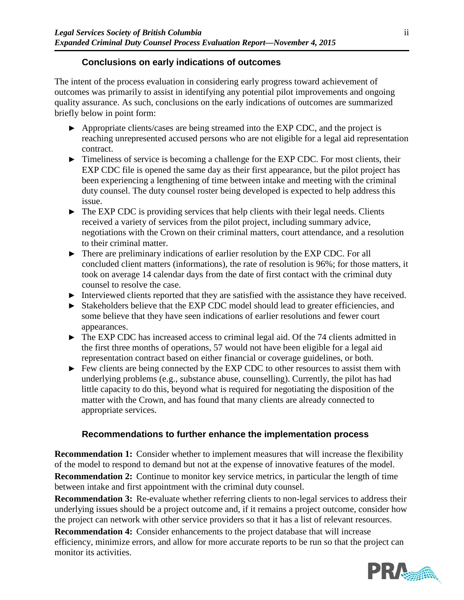## **Conclusions on early indications of outcomes**

The intent of the process evaluation in considering early progress toward achievement of outcomes was primarily to assist in identifying any potential pilot improvements and ongoing quality assurance. As such, conclusions on the early indications of outcomes are summarized briefly below in point form:

- ► Appropriate clients/cases are being streamed into the EXP CDC, and the project is reaching unrepresented accused persons who are not eligible for a legal aid representation contract.
- ► Timeliness of service is becoming a challenge for the EXP CDC. For most clients, their EXP CDC file is opened the same day as their first appearance, but the pilot project has been experiencing a lengthening of time between intake and meeting with the criminal duty counsel. The duty counsel roster being developed is expected to help address this issue.
- ► The EXP CDC is providing services that help clients with their legal needs. Clients received a variety of services from the pilot project, including summary advice, negotiations with the Crown on their criminal matters, court attendance, and a resolution to their criminal matter.
- ► There are preliminary indications of earlier resolution by the EXP CDC. For all concluded client matters (informations), the rate of resolution is 96%; for those matters, it took on average 14 calendar days from the date of first contact with the criminal duty counsel to resolve the case.
- ► Interviewed clients reported that they are satisfied with the assistance they have received.
- ► Stakeholders believe that the EXP CDC model should lead to greater efficiencies, and some believe that they have seen indications of earlier resolutions and fewer court appearances.
- ► The EXP CDC has increased access to criminal legal aid. Of the 74 clients admitted in the first three months of operations, 57 would not have been eligible for a legal aid representation contract based on either financial or coverage guidelines, or both.
- ► Few clients are being connected by the EXP CDC to other resources to assist them with underlying problems (e.g., substance abuse, counselling). Currently, the pilot has had little capacity to do this, beyond what is required for negotiating the disposition of the matter with the Crown, and has found that many clients are already connected to appropriate services.

# **Recommendations to further enhance the implementation process**

**Recommendation 1:** Consider whether to implement measures that will increase the flexibility of the model to respond to demand but not at the expense of innovative features of the model.

**Recommendation 2:** Continue to monitor key service metrics, in particular the length of time between intake and first appointment with the criminal duty counsel.

**Recommendation 3:** Re-evaluate whether referring clients to non-legal services to address their underlying issues should be a project outcome and, if it remains a project outcome, consider how the project can network with other service providers so that it has a list of relevant resources.

**Recommendation 4:** Consider enhancements to the project database that will increase efficiency, minimize errors, and allow for more accurate reports to be run so that the project can monitor its activities.

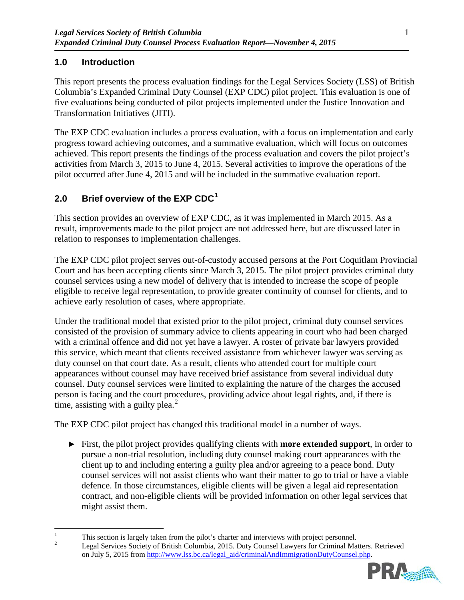# **1.0 Introduction**

This report presents the process evaluation findings for the Legal Services Society (LSS) of British Columbia's Expanded Criminal Duty Counsel (EXP CDC) pilot project. This evaluation is one of five evaluations being conducted of pilot projects implemented under the Justice Innovation and Transformation Initiatives (JITI).

The EXP CDC evaluation includes a process evaluation, with a focus on implementation and early progress toward achieving outcomes, and a summative evaluation, which will focus on outcomes achieved. This report presents the findings of the process evaluation and covers the pilot project's activities from March 3, 2015 to June 4, 2015. Several activities to improve the operations of the pilot occurred after June 4, 2015 and will be included in the summative evaluation report.

# <span id="page-4-2"></span>**2.0 Brief overview of the EXP CDC[1](#page-4-0)**

This section provides an overview of EXP CDC, as it was implemented in March 2015. As a result, improvements made to the pilot project are not addressed here, but are discussed later in relation to responses to implementation challenges.

The EXP CDC pilot project serves out-of-custody accused persons at the Port Coquitlam Provincial Court and has been accepting clients since March 3, 2015. The pilot project provides criminal duty counsel services using a new model of delivery that is intended to increase the scope of people eligible to receive legal representation, to provide greater continuity of counsel for clients, and to achieve early resolution of cases, where appropriate.

Under the traditional model that existed prior to the pilot project, criminal duty counsel services consisted of the provision of summary advice to clients appearing in court who had been charged with a criminal offence and did not yet have a lawyer. A roster of private bar lawyers provided this service, which meant that clients received assistance from whichever lawyer was serving as duty counsel on that court date. As a result, clients who attended court for multiple court appearances without counsel may have received brief assistance from several individual duty counsel. Duty counsel services were limited to explaining the nature of the charges the accused person is facing and the court procedures, providing advice about legal rights, and, if there is time, assisting with a guilty plea. $<sup>2</sup>$  $<sup>2</sup>$  $<sup>2</sup>$ </sup>

The EXP CDC pilot project has changed this traditional model in a number of ways.

► First, the pilot project provides qualifying clients with **more extended support**, in order to pursue a non-trial resolution, including duty counsel making court appearances with the client up to and including entering a guilty plea and/or agreeing to a peace bond. Duty counsel services will not assist clients who want their matter to go to trial or have a viable defence. In those circumstances, eligible clients will be given a legal aid representation contract, and non-eligible clients will be provided information on other legal services that might assist them.

<span id="page-4-1"></span><span id="page-4-0"></span><sup>&</sup>lt;sup>1</sup> This section is largely taken from the pilot's charter and interviews with project personnel.<br><sup>2</sup> Legal Services Society of British Columbia, 2015. Duty Counsel Lawyers for Criminal Matters. Retrieved on July 5, 2015 from [http://www.lss.bc.ca/legal\\_aid/criminalAndImmigrationDutyCounsel.php.](http://www.lss.bc.ca/legal_aid/criminalAndImmigrationDutyCounsel.php)

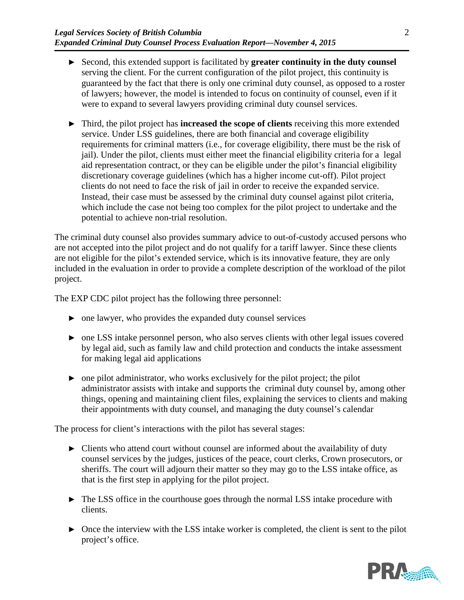- ► Second, this extended support is facilitated by **greater continuity in the duty counsel** serving the client. For the current configuration of the pilot project, this continuity is guaranteed by the fact that there is only one criminal duty counsel, as opposed to a roster of lawyers; however, the model is intended to focus on continuity of counsel, even if it were to expand to several lawyers providing criminal duty counsel services.
- ► Third, the pilot project has **increased the scope of clients** receiving this more extended service. Under LSS guidelines, there are both financial and coverage eligibility requirements for criminal matters (i.e., for coverage eligibility, there must be the risk of jail). Under the pilot, clients must either meet the financial eligibility criteria for a legal aid representation contract, or they can be eligible under the pilot's financial eligibility discretionary coverage guidelines (which has a higher income cut-off). Pilot project clients do not need to face the risk of jail in order to receive the expanded service. Instead, their case must be assessed by the criminal duty counsel against pilot criteria, which include the case not being too complex for the pilot project to undertake and the potential to achieve non-trial resolution.

The criminal duty counsel also provides summary advice to out-of-custody accused persons who are not accepted into the pilot project and do not qualify for a tariff lawyer. Since these clients are not eligible for the pilot's extended service, which is its innovative feature, they are only included in the evaluation in order to provide a complete description of the workload of the pilot project.

The EXP CDC pilot project has the following three personnel:

- $\triangleright$  one lawyer, who provides the expanded duty counsel services
- ► one LSS intake personnel person, who also serves clients with other legal issues covered by legal aid, such as family law and child protection and conducts the intake assessment for making legal aid applications
- ► one pilot administrator, who works exclusively for the pilot project; the pilot administrator assists with intake and supports the criminal duty counsel by, among other things, opening and maintaining client files, explaining the services to clients and making their appointments with duty counsel, and managing the duty counsel's calendar

The process for client's interactions with the pilot has several stages:

- ► Clients who attend court without counsel are informed about the availability of duty counsel services by the judges, justices of the peace, court clerks, Crown prosecutors, or sheriffs. The court will adjourn their matter so they may go to the LSS intake office, as that is the first step in applying for the pilot project.
- ► The LSS office in the courthouse goes through the normal LSS intake procedure with clients.
- ► Once the interview with the LSS intake worker is completed, the client is sent to the pilot project's office.

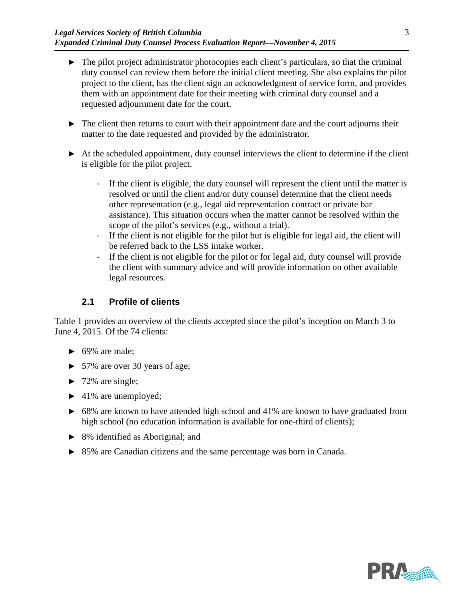- ► The pilot project administrator photocopies each client's particulars, so that the criminal duty counsel can review them before the initial client meeting. She also explains the pilot project to the client, has the client sign an acknowledgment of service form, and provides them with an appointment date for their meeting with criminal duty counsel and a requested adjournment date for the court.
- ► The client then returns to court with their appointment date and the court adjourns their matter to the date requested and provided by the administrator.
- ► At the scheduled appointment, duty counsel interviews the client to determine if the client is eligible for the pilot project.
	- If the client is eligible, the duty counsel will represent the client until the matter is resolved or until the client and/or duty counsel determine that the client needs other representation (e.g., legal aid representation contract or private bar assistance). This situation occurs when the matter cannot be resolved within the scope of the pilot's services (e.g., without a trial).
	- If the client is not eligible for the pilot but is eligible for legal aid, the client will be referred back to the LSS intake worker.
	- If the client is not eligible for the pilot or for legal aid, duty counsel will provide the client with summary advice and will provide information on other available legal resources.

# **2.1 Profile of clients**

<span id="page-6-0"></span>[Table 1](#page-7-0) provides an overview of the clients accepted since the pilot's inception on March 3 to June 4, 2015. Of the 74 clients:

- $\blacktriangleright$  69% are male:
- ► 57% are over 30 years of age;
- $\blacktriangleright$  72% are single;
- ► 41% are unemployed;
- ► 68% are known to have attended high school and 41% are known to have graduated from high school (no education information is available for one-third of clients);
- ► 8% identified as Aboriginal; and
- ► 85% are Canadian citizens and the same percentage was born in Canada.

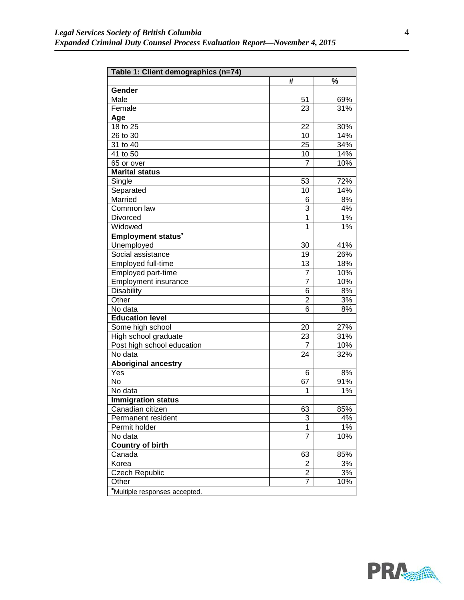<span id="page-7-0"></span>

| Table 1: Client demographics (n=74) |                |     |  |  |
|-------------------------------------|----------------|-----|--|--|
|                                     | #              | %   |  |  |
| Gender                              |                |     |  |  |
| Male                                | 51             | 69% |  |  |
| Female                              | 23             | 31% |  |  |
| Age                                 |                |     |  |  |
| 18 to 25                            | 22             | 30% |  |  |
| 26 to 30                            | 10             | 14% |  |  |
| 31 to 40                            | 25             | 34% |  |  |
| 41 to 50                            | 10             | 14% |  |  |
| 65 or over                          | 7              | 10% |  |  |
| <b>Marital status</b>               |                |     |  |  |
| Single                              | 53             | 72% |  |  |
| Separated                           | 10             | 14% |  |  |
| Married                             | 6              | 8%  |  |  |
| Common law                          | 3              | 4%  |  |  |
| Divorced                            | $\overline{1}$ | 1%  |  |  |
| Widowed                             | 1              | 1%  |  |  |
| <b>Employment status*</b>           |                |     |  |  |
| Unemployed                          | 30             | 41% |  |  |
| Social assistance                   | 19             | 26% |  |  |
| Employed full-time                  | 13             | 18% |  |  |
| Employed part-time                  | 7              | 10% |  |  |
| <b>Employment insurance</b>         | 7              | 10% |  |  |
| Disability                          | 6              | 8%  |  |  |
| Other                               | $\overline{2}$ | 3%  |  |  |
| No data                             | 6              | 8%  |  |  |
| <b>Education level</b>              |                |     |  |  |
| Some high school                    | 20             | 27% |  |  |
| High school graduate                | 23             | 31% |  |  |
| Post high school education          | 7              | 10% |  |  |
| No data                             | 24             | 32% |  |  |
| <b>Aboriginal ancestry</b>          |                |     |  |  |
| Yes                                 | 6              | 8%  |  |  |
| No                                  | 67             | 91% |  |  |
| No data                             | 1              | 1%  |  |  |
| <b>Immigration status</b>           |                |     |  |  |
| Canadian citizen                    | 63             | 85% |  |  |
| Permanent resident                  | 3              | 4%  |  |  |
| Permit holder                       | 1              | 1%  |  |  |
| No data                             | 7              | 10% |  |  |
| <b>Country of birth</b>             |                |     |  |  |
| Canada                              | 63             | 85% |  |  |
| Korea                               | 2              | 3%  |  |  |
| <b>Czech Republic</b>               | 2              | 3%  |  |  |
| Other                               | 7              | 10% |  |  |
| *Multiple responses accepted.       |                |     |  |  |

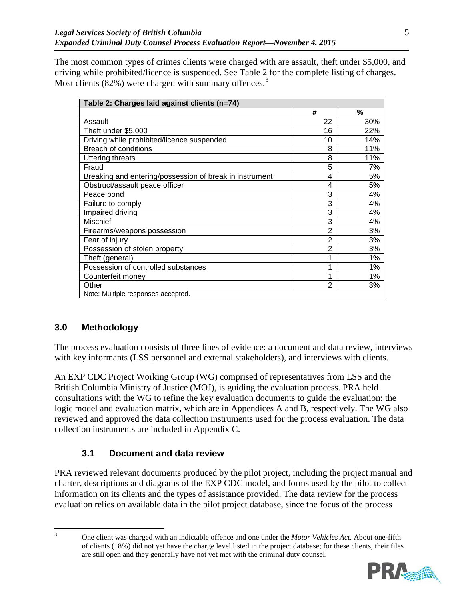The most common types of crimes clients were charged with are assault, theft under \$5,000, and driving while prohibited/licence is suspended. See [Table 2](#page-8-0) for the complete listing of charges. Most clients  $(82%)$  were charged with summary offences.<sup>[3](#page-8-1)</sup>

<span id="page-8-0"></span>

| Table 2: Charges laid against clients (n=74)            |                         |       |  |  |  |
|---------------------------------------------------------|-------------------------|-------|--|--|--|
|                                                         | #                       | %     |  |  |  |
| Assault                                                 | 22                      | 30%   |  |  |  |
| Theft under \$5,000                                     | 16                      | 22%   |  |  |  |
| Driving while prohibited/licence suspended              | 10                      | 14%   |  |  |  |
| <b>Breach of conditions</b>                             | 8                       | 11%   |  |  |  |
| <b>Uttering threats</b>                                 | 8                       | 11%   |  |  |  |
| Fraud                                                   | 5                       | 7%    |  |  |  |
| Breaking and entering/possession of break in instrument | 4                       | 5%    |  |  |  |
| Obstruct/assault peace officer                          | $\overline{\mathbf{4}}$ | 5%    |  |  |  |
| Peace bond                                              | 3                       | 4%    |  |  |  |
| Failure to comply                                       | 3                       | 4%    |  |  |  |
| Impaired driving                                        | 3                       | 4%    |  |  |  |
| <b>Mischief</b>                                         | 3                       | 4%    |  |  |  |
| Firearms/weapons possession                             | $\overline{2}$          | 3%    |  |  |  |
| Fear of injury                                          | $\overline{2}$          | 3%    |  |  |  |
| Possession of stolen property                           | $\overline{2}$          | 3%    |  |  |  |
| Theft (general)                                         | 1                       | 1%    |  |  |  |
| Possession of controlled substances                     | 1                       | $1\%$ |  |  |  |
| Counterfeit money                                       | 1                       | $1\%$ |  |  |  |
| Other                                                   | $\overline{2}$          | 3%    |  |  |  |
| Note: Multiple responses accepted.                      |                         |       |  |  |  |

# **3.0 Methodology**

The process evaluation consists of three lines of evidence: a document and data review, interviews with key informants (LSS personnel and external stakeholders), and interviews with clients.

An EXP CDC Project Working Group (WG) comprised of representatives from LSS and the British Columbia Ministry of Justice (MOJ), is guiding the evaluation process. PRA held consultations with the WG to refine the key evaluation documents to guide the evaluation: the logic model and evaluation matrix, which are in Appendices A and B, respectively. The WG also reviewed and approved the data collection instruments used for the process evaluation. The data collection instruments are included in Appendix C.

# **3.1 Document and data review**

PRA reviewed relevant documents produced by the pilot project, including the project manual and charter, descriptions and diagrams of the EXP CDC model, and forms used by the pilot to collect information on its clients and the types of assistance provided. The data review for the process evaluation relies on available data in the pilot project database, since the focus of the process

 <sup>3</sup> One client was charged with an indictable offence and one under the *Motor Vehicles Act*. About one-fifth of clients (18%) did not yet have the charge level listed in the project database; for these clients, their files are still open and they generally have not yet met with the criminal duty counsel.



<span id="page-8-1"></span>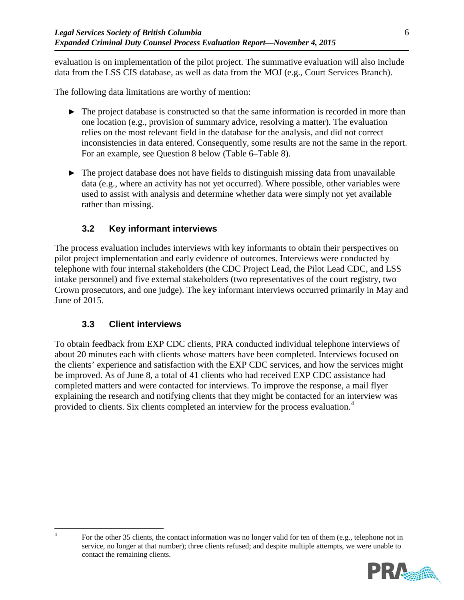evaluation is on implementation of the pilot project. The summative evaluation will also include data from the LSS CIS database, as well as data from the MOJ (e.g., Court Services Branch).

The following data limitations are worthy of mention:

- ► The project database is constructed so that the same information is recorded in more than one location (e.g., provision of summary advice, resolving a matter). The evaluation relies on the most relevant field in the database for the analysis, and did not correct inconsistencies in data entered. Consequently, some results are not the same in the report. For an example, see Question 8 below [\(Table 6–](#page-17-0)[Table 8\)](#page-18-0).
- $\blacktriangleright$  The project database does not have fields to distinguish missing data from unavailable data (e.g., where an activity has not yet occurred). Where possible, other variables were used to assist with analysis and determine whether data were simply not yet available rather than missing.

# **3.2 Key informant interviews**

The process evaluation includes interviews with key informants to obtain their perspectives on pilot project implementation and early evidence of outcomes. Interviews were conducted by telephone with four internal stakeholders (the CDC Project Lead, the Pilot Lead CDC, and LSS intake personnel) and five external stakeholders (two representatives of the court registry, two Crown prosecutors, and one judge). The key informant interviews occurred primarily in May and June of 2015.

## **3.3 Client interviews**

To obtain feedback from EXP CDC clients, PRA conducted individual telephone interviews of about 20 minutes each with clients whose matters have been completed. Interviews focused on the clients' experience and satisfaction with the EXP CDC services, and how the services might be improved. As of June 8, a total of 41 clients who had received EXP CDC assistance had completed matters and were contacted for interviews. To improve the response, a mail flyer explaining the research and notifying clients that they might be contacted for an interview was provided to clients. Six clients completed an interview for the process evaluation.<sup>[4](#page-9-0)</sup>

<sup>&</sup>lt;sup>4</sup> For the other 35 clients, the contact information was no longer valid for ten of them (e.g., telephone not in service, no longer at that number); three clients refused; and despite multiple attempts, we were unable to contact the remaining clients.



<span id="page-9-0"></span>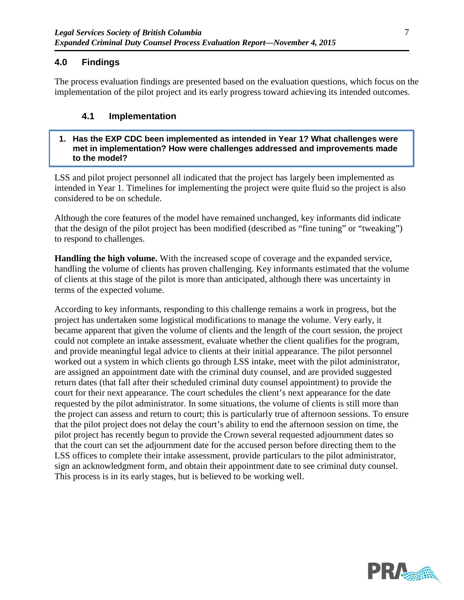## **4.0 Findings**

The process evaluation findings are presented based on the evaluation questions, which focus on the implementation of the pilot project and its early progress toward achieving its intended outcomes.

## **4.1 Implementation**

#### **1. Has the EXP CDC been implemented as intended in Year 1? What challenges were met in implementation? How were challenges addressed and improvements made to the model?**

LSS and pilot project personnel all indicated that the project has largely been implemented as intended in Year 1. Timelines for implementing the project were quite fluid so the project is also considered to be on schedule.

Although the core features of the model have remained unchanged, key informants did indicate that the design of the pilot project has been modified (described as "fine tuning" or "tweaking") to respond to challenges.

**Handling the high volume.** With the increased scope of coverage and the expanded service, handling the volume of clients has proven challenging. Key informants estimated that the volume of clients at this stage of the pilot is more than anticipated, although there was uncertainty in terms of the expected volume.

According to key informants, responding to this challenge remains a work in progress, but the project has undertaken some logistical modifications to manage the volume. Very early, it became apparent that given the volume of clients and the length of the court session, the project could not complete an intake assessment, evaluate whether the client qualifies for the program, and provide meaningful legal advice to clients at their initial appearance. The pilot personnel worked out a system in which clients go through LSS intake, meet with the pilot administrator, are assigned an appointment date with the criminal duty counsel, and are provided suggested return dates (that fall after their scheduled criminal duty counsel appointment) to provide the court for their next appearance. The court schedules the client's next appearance for the date requested by the pilot administrator. In some situations, the volume of clients is still more than the project can assess and return to court; this is particularly true of afternoon sessions. To ensure that the pilot project does not delay the court's ability to end the afternoon session on time, the pilot project has recently begun to provide the Crown several requested adjournment dates so that the court can set the adjournment date for the accused person before directing them to the LSS offices to complete their intake assessment, provide particulars to the pilot administrator, sign an acknowledgment form, and obtain their appointment date to see criminal duty counsel. This process is in its early stages, but is believed to be working well.

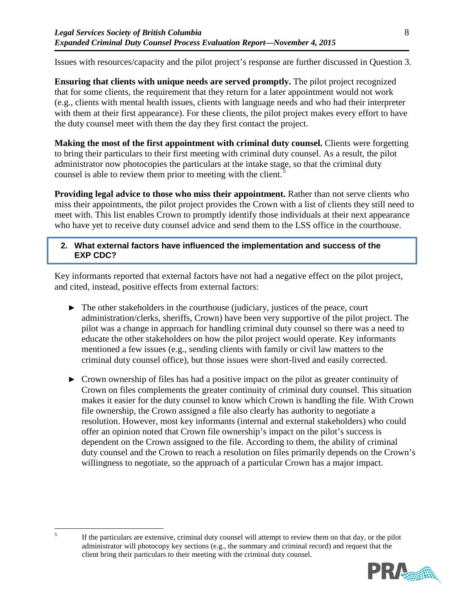Issues with resources/capacity and the pilot project's response are further discussed in Question 3.

**Ensuring that clients with unique needs are served promptly.** The pilot project recognized that for some clients, the requirement that they return for a later appointment would not work (e.g., clients with mental health issues, clients with language needs and who had their interpreter with them at their first appearance). For these clients, the pilot project makes every effort to have the duty counsel meet with them the day they first contact the project.

**Making the most of the first appointment with criminal duty counsel.** Clients were forgetting to bring their particulars to their first meeting with criminal duty counsel. As a result, the pilot administrator now photocopies the particulars at the intake stage, so that the criminal duty counsel is able to review them prior to meeting with the client.<sup>[5](#page-11-0)</sup>

**Providing legal advice to those who miss their appointment.** Rather than not serve clients who miss their appointments, the pilot project provides the Crown with a list of clients they still need to meet with. This list enables Crown to promptly identify those individuals at their next appearance who have yet to receive duty counsel advice and send them to the LSS office in the courthouse.

### **2. What external factors have influenced the implementation and success of the EXP CDC?**

Key informants reported that external factors have not had a negative effect on the pilot project, and cited, instead, positive effects from external factors:

- ► The other stakeholders in the courthouse (judiciary, justices of the peace, court administration/clerks, sheriffs, Crown) have been very supportive of the pilot project. The pilot was a change in approach for handling criminal duty counsel so there was a need to educate the other stakeholders on how the pilot project would operate. Key informants mentioned a few issues (e.g., sending clients with family or civil law matters to the criminal duty counsel office), but those issues were short-lived and easily corrected.
- ► Crown ownership of files has had a positive impact on the pilot as greater continuity of Crown on files complements the greater continuity of criminal duty counsel. This situation makes it easier for the duty counsel to know which Crown is handling the file. With Crown file ownership, the Crown assigned a file also clearly has authority to negotiate a resolution. However, most key informants (internal and external stakeholders) who could offer an opinion noted that Crown file ownership's impact on the pilot's success is dependent on the Crown assigned to the file. According to them, the ability of criminal duty counsel and the Crown to reach a resolution on files primarily depends on the Crown's willingness to negotiate, so the approach of a particular Crown has a major impact.

<span id="page-11-0"></span><sup>&</sup>lt;sup>5</sup> If the particulars are extensive, criminal duty counsel will attempt to review them on that day, or the pilot administrator will photocopy key sections (e.g., the summary and criminal record) and request that the client bring their particulars to their meeting with the criminal duty counsel.

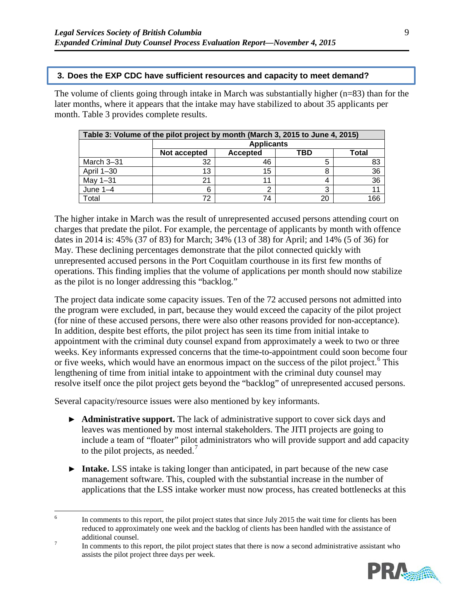#### **3. Does the EXP CDC have sufficient resources and capacity to meet demand?**

The volume of clients going through intake in March was substantially higher  $(n=83)$  than for the later months, where it appears that the intake may have stabilized to about 35 applicants per month. [Table 3](#page-12-0) provides complete results.

<span id="page-12-0"></span>

| Table 3: Volume of the pilot project by month (March 3, 2015 to June 4, 2015) |                                                        |                   |    |     |  |  |
|-------------------------------------------------------------------------------|--------------------------------------------------------|-------------------|----|-----|--|--|
|                                                                               |                                                        | <b>Applicants</b> |    |     |  |  |
|                                                                               | <b>Total</b><br>Not accepted<br><b>Accepted</b><br>TBD |                   |    |     |  |  |
| March 3-31                                                                    | 32                                                     | 46                |    |     |  |  |
| April 1-30                                                                    | 13                                                     | 15                |    | 36  |  |  |
| May 1-31                                                                      | 21                                                     |                   |    | 36  |  |  |
| June $1-4$                                                                    | 6                                                      |                   |    |     |  |  |
| Total                                                                         | 72                                                     | 74                | 20 | 166 |  |  |

The higher intake in March was the result of unrepresented accused persons attending court on charges that predate the pilot. For example, the percentage of applicants by month with offence dates in 2014 is: 45% (37 of 83) for March; 34% (13 of 38) for April; and 14% (5 of 36) for May. These declining percentages demonstrate that the pilot connected quickly with unrepresented accused persons in the Port Coquitlam courthouse in its first few months of operations. This finding implies that the volume of applications per month should now stabilize as the pilot is no longer addressing this "backlog."

The project data indicate some capacity issues. Ten of the 72 accused persons not admitted into the program were excluded, in part, because they would exceed the capacity of the pilot project (for nine of these accused persons, there were also other reasons provided for non-acceptance). In addition, despite best efforts, the pilot project has seen its time from initial intake to appointment with the criminal duty counsel expand from approximately a week to two or three weeks. Key informants expressed concerns that the time-to-appointment could soon become four or five weeks, which would have an enormous impact on the success of the pilot project.<sup>[6](#page-12-1)</sup> This lengthening of time from initial intake to appointment with the criminal duty counsel may resolve itself once the pilot project gets beyond the "backlog" of unrepresented accused persons.

Several capacity/resource issues were also mentioned by key informants.

- ► **Administrative support.** The lack of administrative support to cover sick days and leaves was mentioned by most internal stakeholders. The JITI projects are going to include a team of "floater" pilot administrators who will provide support and add capacity to the pilot projects, as needed.<sup>[7](#page-12-2)</sup>
- ► **Intake.** LSS intake is taking longer than anticipated, in part because of the new case management software. This, coupled with the substantial increase in the number of applications that the LSS intake worker must now process, has created bottlenecks at this

<span id="page-12-2"></span>assists the pilot project three days per week.



<span id="page-12-1"></span><sup>&</sup>lt;sup>6</sup> In comments to this report, the pilot project states that since July 2015 the wait time for clients has been reduced to approximately one week and the backlog of clients has been handled with the assistance of additional counsel.<br>In comments to this report, the pilot project states that there is now a second administrative assistant who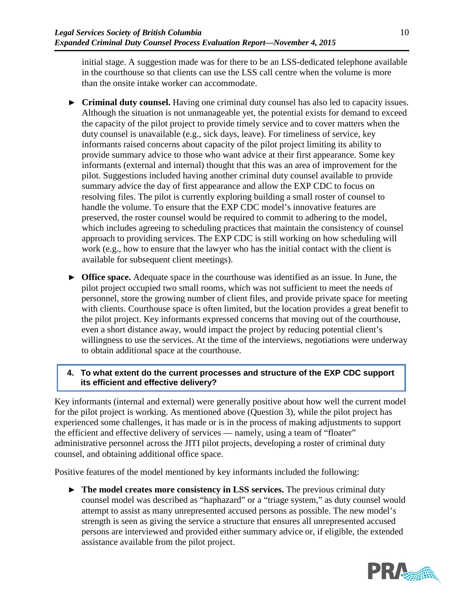initial stage. A suggestion made was for there to be an LSS-dedicated telephone available in the courthouse so that clients can use the LSS call centre when the volume is more than the onsite intake worker can accommodate.

- ► **Criminal duty counsel.** Having one criminal duty counsel has also led to capacity issues. Although the situation is not unmanageable yet, the potential exists for demand to exceed the capacity of the pilot project to provide timely service and to cover matters when the duty counsel is unavailable (e.g., sick days, leave). For timeliness of service, key informants raised concerns about capacity of the pilot project limiting its ability to provide summary advice to those who want advice at their first appearance. Some key informants (external and internal) thought that this was an area of improvement for the pilot. Suggestions included having another criminal duty counsel available to provide summary advice the day of first appearance and allow the EXP CDC to focus on resolving files. The pilot is currently exploring building a small roster of counsel to handle the volume. To ensure that the EXP CDC model's innovative features are preserved, the roster counsel would be required to commit to adhering to the model, which includes agreeing to scheduling practices that maintain the consistency of counsel approach to providing services. The EXP CDC is still working on how scheduling will work (e.g., how to ensure that the lawyer who has the initial contact with the client is available for subsequent client meetings).
- ► **Office space.** Adequate space in the courthouse was identified as an issue. In June, the pilot project occupied two small rooms, which was not sufficient to meet the needs of personnel, store the growing number of client files, and provide private space for meeting with clients. Courthouse space is often limited, but the location provides a great benefit to the pilot project. Key informants expressed concerns that moving out of the courthouse, even a short distance away, would impact the project by reducing potential client's willingness to use the services. At the time of the interviews, negotiations were underway to obtain additional space at the courthouse.

## **4. To what extent do the current processes and structure of the EXP CDC support its efficient and effective delivery?**

Key informants (internal and external) were generally positive about how well the current model for the pilot project is working. As mentioned above (Question 3), while the pilot project has experienced some challenges, it has made or is in the process of making adjustments to support the efficient and effective delivery of services — namely, using a team of "floater" administrative personnel across the JITI pilot projects, developing a roster of criminal duty counsel, and obtaining additional office space.

Positive features of the model mentioned by key informants included the following:

► **The model creates more consistency in LSS services.** The previous criminal duty counsel model was described as "haphazard" or a "triage system," as duty counsel would attempt to assist as many unrepresented accused persons as possible. The new model's strength is seen as giving the service a structure that ensures all unrepresented accused persons are interviewed and provided either summary advice or, if eligible, the extended assistance available from the pilot project.

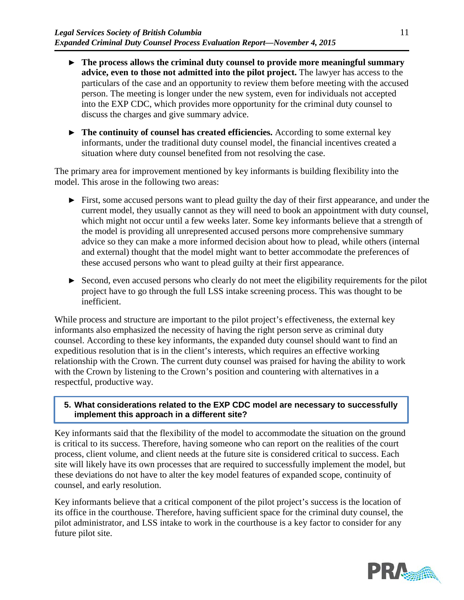- ► **The process allows the criminal duty counsel to provide more meaningful summary advice, even to those not admitted into the pilot project.** The lawyer has access to the particulars of the case and an opportunity to review them before meeting with the accused person. The meeting is longer under the new system, even for individuals not accepted into the EXP CDC, which provides more opportunity for the criminal duty counsel to discuss the charges and give summary advice.
- ► **The continuity of counsel has created efficiencies.** According to some external key informants, under the traditional duty counsel model, the financial incentives created a situation where duty counsel benefited from not resolving the case.

The primary area for improvement mentioned by key informants is building flexibility into the model. This arose in the following two areas:

- ► First, some accused persons want to plead guilty the day of their first appearance, and under the current model, they usually cannot as they will need to book an appointment with duty counsel, which might not occur until a few weeks later. Some key informants believe that a strength of the model is providing all unrepresented accused persons more comprehensive summary advice so they can make a more informed decision about how to plead, while others (internal and external) thought that the model might want to better accommodate the preferences of these accused persons who want to plead guilty at their first appearance.
- ► Second, even accused persons who clearly do not meet the eligibility requirements for the pilot project have to go through the full LSS intake screening process. This was thought to be inefficient.

While process and structure are important to the pilot project's effectiveness, the external key informants also emphasized the necessity of having the right person serve as criminal duty counsel. According to these key informants, the expanded duty counsel should want to find an expeditious resolution that is in the client's interests, which requires an effective working relationship with the Crown. The current duty counsel was praised for having the ability to work with the Crown by listening to the Crown's position and countering with alternatives in a respectful, productive way.

### **5. What considerations related to the EXP CDC model are necessary to successfully implement this approach in a different site?**

Key informants said that the flexibility of the model to accommodate the situation on the ground is critical to its success. Therefore, having someone who can report on the realities of the court process, client volume, and client needs at the future site is considered critical to success. Each site will likely have its own processes that are required to successfully implement the model, but these deviations do not have to alter the key model features of expanded scope, continuity of counsel, and early resolution.

Key informants believe that a critical component of the pilot project's success is the location of its office in the courthouse. Therefore, having sufficient space for the criminal duty counsel, the pilot administrator, and LSS intake to work in the courthouse is a key factor to consider for any future pilot site.

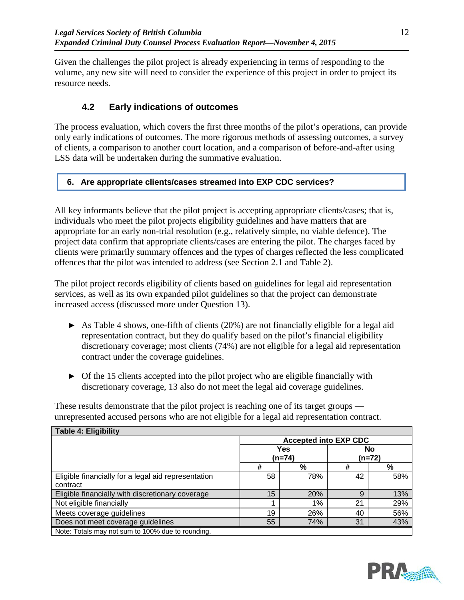Given the challenges the pilot project is already experiencing in terms of responding to the volume, any new site will need to consider the experience of this project in order to project its resource needs.

# **4.2 Early indications of outcomes**

The process evaluation, which covers the first three months of the pilot's operations, can provide only early indications of outcomes. The more rigorous methods of assessing outcomes, a survey of clients, a comparison to another court location, and a comparison of before-and-after using LSS data will be undertaken during the summative evaluation.

## **6. Are appropriate clients/cases streamed into EXP CDC services?**

All key informants believe that the pilot project is accepting appropriate clients/cases; that is, individuals who meet the pilot projects eligibility guidelines and have matters that are appropriate for an early non-trial resolution (e.g., relatively simple, no viable defence). The project data confirm that appropriate clients/cases are entering the pilot. The charges faced by clients were primarily summary offences and the types of charges reflected the less complicated offences that the pilot was intended to address (see Section [2.1](#page-6-0) and [Table 2\)](#page-8-0).

The pilot project records eligibility of clients based on guidelines for legal aid representation services, as well as its own expanded pilot guidelines so that the project can demonstrate increased access (discussed more under Question 13).

- $\triangleright$  As [Table 4](#page-15-0) shows, one-fifth of clients (20%) are not financially eligible for a legal aid representation contract, but they do qualify based on the pilot's financial eligibility discretionary coverage; most clients (74%) are not eligible for a legal aid representation contract under the coverage guidelines.
- ► Of the 15 clients accepted into the pilot project who are eligible financially with discretionary coverage, 13 also do not meet the legal aid coverage guidelines.

These results demonstrate that the pilot project is reaching one of its target groups unrepresented accused persons who are not eligible for a legal aid representation contract.

<span id="page-15-0"></span>

| <b>Table 4: Eligibility</b>                         |                              |     |                     |     |  |
|-----------------------------------------------------|------------------------------|-----|---------------------|-----|--|
|                                                     | <b>Accepted into EXP CDC</b> |     |                     |     |  |
|                                                     | Yes<br>(n=74)                |     | <b>No</b><br>(n=72) |     |  |
|                                                     | #                            | %   | #                   | %   |  |
| Eligible financially for a legal aid representation | 58                           | 78% | 42                  | 58% |  |
| contract                                            |                              |     |                     |     |  |
| Eligible financially with discretionary coverage    | 15                           | 20% | 9                   | 13% |  |
| Not eligible financially                            |                              | 1%  | 21                  | 29% |  |
| Meets coverage guidelines                           | 19                           | 26% | 40                  | 56% |  |
| Does not meet coverage guidelines                   | 55                           | 74% | 31                  | 43% |  |
| Note: Totals may not sum to 100% due to rounding.   |                              |     |                     |     |  |



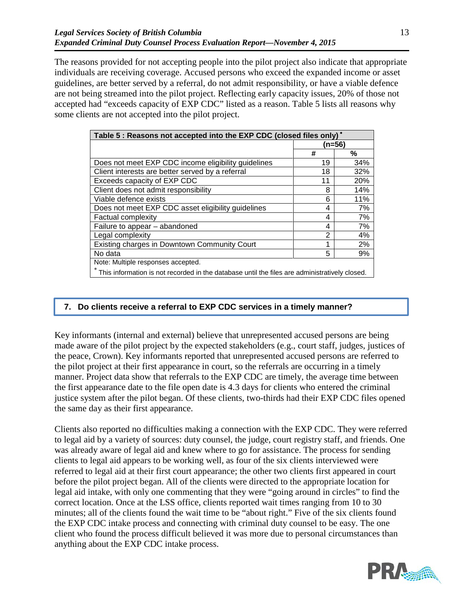The reasons provided for not accepting people into the pilot project also indicate that appropriate individuals are receiving coverage. Accused persons who exceed the expanded income or asset guidelines, are better served by a referral, do not admit responsibility, or have a viable defence are not being streamed into the pilot project. Reflecting early capacity issues, 20% of those not accepted had "exceeds capacity of EXP CDC" listed as a reason. [Table 5](#page-16-0) lists all reasons why some clients are not accepted into the pilot project.

<span id="page-16-0"></span>

| Table 5 : Reasons not accepted into the EXP CDC (closed files only) <sup>*</sup> |        |                                                                                               |  |  |  |  |
|----------------------------------------------------------------------------------|--------|-----------------------------------------------------------------------------------------------|--|--|--|--|
|                                                                                  | (n=56) |                                                                                               |  |  |  |  |
|                                                                                  | #      | %                                                                                             |  |  |  |  |
| Does not meet EXP CDC income eligibility guidelines                              | 19     | 34%                                                                                           |  |  |  |  |
| Client interests are better served by a referral                                 | 18     | 32%                                                                                           |  |  |  |  |
| Exceeds capacity of EXP CDC                                                      | 11     | 20%                                                                                           |  |  |  |  |
| Client does not admit responsibility                                             | 8      | 14%                                                                                           |  |  |  |  |
| Viable defence exists                                                            | 6      | 11%                                                                                           |  |  |  |  |
| Does not meet EXP CDC asset eligibility guidelines                               | 4      | 7%                                                                                            |  |  |  |  |
| <b>Factual complexity</b>                                                        | 4      | 7%                                                                                            |  |  |  |  |
| Failure to appear - abandoned                                                    | 4      | 7%                                                                                            |  |  |  |  |
| Legal complexity                                                                 | 2      | 4%                                                                                            |  |  |  |  |
| Existing charges in Downtown Community Court                                     | 1      | 2%                                                                                            |  |  |  |  |
| No data                                                                          | 5      | 9%                                                                                            |  |  |  |  |
| Note: Multiple responses accepted.                                               |        |                                                                                               |  |  |  |  |
|                                                                                  |        | This information is not recorded in the database until the files are administratively closed. |  |  |  |  |

## **7. Do clients receive a referral to EXP CDC services in a timely manner?**

Key informants (internal and external) believe that unrepresented accused persons are being made aware of the pilot project by the expected stakeholders (e.g., court staff, judges, justices of the peace, Crown). Key informants reported that unrepresented accused persons are referred to the pilot project at their first appearance in court, so the referrals are occurring in a timely manner. Project data show that referrals to the EXP CDC are timely, the average time between the first appearance date to the file open date is 4.3 days for clients who entered the criminal justice system after the pilot began. Of these clients, two-thirds had their EXP CDC files opened the same day as their first appearance.

Clients also reported no difficulties making a connection with the EXP CDC. They were referred to legal aid by a variety of sources: duty counsel, the judge, court registry staff, and friends. One was already aware of legal aid and knew where to go for assistance. The process for sending clients to legal aid appears to be working well, as four of the six clients interviewed were referred to legal aid at their first court appearance; the other two clients first appeared in court before the pilot project began. All of the clients were directed to the appropriate location for legal aid intake, with only one commenting that they were "going around in circles" to find the correct location. Once at the LSS office, clients reported wait times ranging from 10 to 30 minutes; all of the clients found the wait time to be "about right." Five of the six clients found the EXP CDC intake process and connecting with criminal duty counsel to be easy. The one client who found the process difficult believed it was more due to personal circumstances than anything about the EXP CDC intake process.

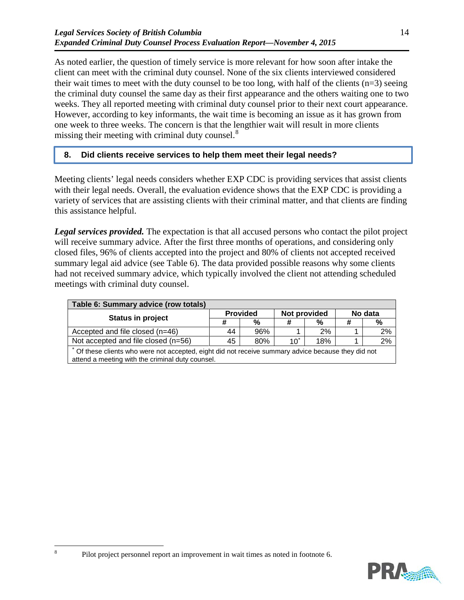As noted earlier, the question of timely service is more relevant for how soon after intake the client can meet with the criminal duty counsel. None of the six clients interviewed considered their wait times to meet with the duty counsel to be too long, with half of the clients  $(n=3)$  seeing the criminal duty counsel the same day as their first appearance and the others waiting one to two weeks. They all reported meeting with criminal duty counsel prior to their next court appearance. However, according to key informants, the wait time is becoming an issue as it has grown from one week to three weeks. The concern is that the lengthier wait will result in more clients missing their meeting with criminal duty counsel.<sup>[8](#page-17-1)</sup>

### **8. Did clients receive services to help them meet their legal needs?**

Meeting clients' legal needs considers whether EXP CDC is providing services that assist clients with their legal needs. Overall, the evaluation evidence shows that the EXP CDC is providing a variety of services that are assisting clients with their criminal matter, and that clients are finding this assistance helpful.

*Legal services provided.* The expectation is that all accused persons who contact the pilot project will receive summary advice. After the first three months of operations, and considering only closed files, 96% of clients accepted into the project and 80% of clients not accepted received summary legal aid advice (see [Table 6\)](#page-17-0). The data provided possible reasons why some clients had not received summary advice, which typically involved the client not attending scheduled meetings with criminal duty counsel.

<span id="page-17-0"></span>

| Table 6: Summary advice (row totals) |                 |     |              |     |         |       |
|--------------------------------------|-----------------|-----|--------------|-----|---------|-------|
|                                      | <b>Provided</b> |     | Not provided |     | No data |       |
| <b>Status in project</b>             | #               | %   |              | %   |         | %     |
| Accepted and file closed (n=46)      | 44              | 96% |              | 2%  |         | $2\%$ |
| Not accepted and file closed (n=56)  | 45              | 80% | $10^*$       | 18% |         | $2\%$ |

Of these clients who were not accepted, eight did not receive summary advice because they did not attend a meeting with the criminal duty counsel.

<span id="page-17-1"></span><sup>&</sup>lt;sup>8</sup> Pilot project personnel report an improvement in wait times as noted in footnote 6.

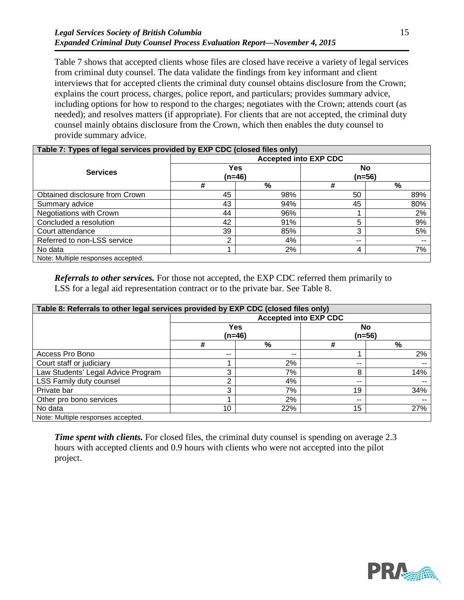[Table 7](#page-18-1) shows that accepted clients whose files are closed have receive a variety of legal services from criminal duty counsel. The data validate the findings from key informant and client interviews that for accepted clients the criminal duty counsel obtains disclosure from the Crown; explains the court process, charges, police report, and particulars; provides summary advice, including options for how to respond to the charges; negotiates with the Crown; attends court (as needed); and resolves matters (if appropriate). For clients that are not accepted, the criminal duty counsel mainly obtains disclosure from the Crown, which then enables the duty counsel to provide summary advice.

<span id="page-18-1"></span>

| Table 7: Types of legal services provided by EXP CDC (closed files only) |                 |     |                     |     |  |
|--------------------------------------------------------------------------|-----------------|-----|---------------------|-----|--|
| <b>Accepted into EXP CDC</b>                                             |                 |     |                     |     |  |
| <b>Services</b>                                                          | Yes<br>$(n=46)$ |     | <b>No</b><br>(n=56) |     |  |
|                                                                          | #               | %   | #                   | %   |  |
| Obtained disclosure from Crown                                           | 45              | 98% | 50                  | 89% |  |
| Summary advice                                                           | 43              | 94% | 45                  | 80% |  |
| Negotiations with Crown                                                  | 44              | 96% |                     | 2%  |  |
| Concluded a resolution                                                   | 42              | 91% | 5                   | 9%  |  |
| Court attendance                                                         | 39              | 85% | 3                   | 5%  |  |
| Referred to non-LSS service                                              | ົ               | 4%  | $- -$               | --  |  |
| No data                                                                  |                 | 2%  | 4                   | 7%  |  |
| Note: Multiple responses accepted.                                       |                 |     |                     |     |  |

*Referrals to other services.* For those not accepted, the EXP CDC referred them primarily to LSS for a legal aid representation contract or to the private bar. See [Table 8.](#page-18-0)

<span id="page-18-0"></span>

| Table 8: Referrals to other legal services provided by EXP CDC (closed files only) |       |                 |                              |                       |  |  |
|------------------------------------------------------------------------------------|-------|-----------------|------------------------------|-----------------------|--|--|
|                                                                                    |       |                 | <b>Accepted into EXP CDC</b> |                       |  |  |
|                                                                                    |       | Yes<br>$(n=46)$ |                              | <b>No</b><br>$(n=56)$ |  |  |
|                                                                                    | #     | $\frac{9}{6}$   | #                            | %                     |  |  |
| Access Pro Bono                                                                    | $- -$ | --              |                              | 2%                    |  |  |
| Court staff or judiciary                                                           |       | 2%              | $- -$                        | --                    |  |  |
| Law Students' Legal Advice Program                                                 | 3     | 7%              | 8                            | 14%                   |  |  |
| LSS Family duty counsel                                                            | ⌒     | 4%              | $- -$                        | $\sim$ $\sim$         |  |  |
| Private bar                                                                        | 3     | 7%              | 19                           | 34%                   |  |  |
| Other pro bono services                                                            |       | 2%              | $\sim$ $\sim$                | $- -$                 |  |  |
| No data                                                                            | 10    | 22%             | 15                           | 27%                   |  |  |
| Note: Multiple responses accepted.                                                 |       |                 |                              |                       |  |  |

**Time spent with clients.** For closed files, the criminal duty counsel is spending on average 2.3 hours with accepted clients and 0.9 hours with clients who were not accepted into the pilot project.

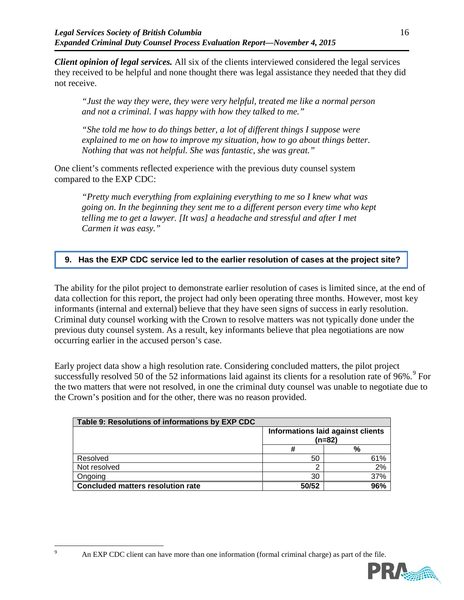*Client opinion of legal services.* All six of the clients interviewed considered the legal services they received to be helpful and none thought there was legal assistance they needed that they did not receive.

*"Just the way they were, they were very helpful, treated me like a normal person and not a criminal. I was happy with how they talked to me."*

*"She told me how to do things better, a lot of different things I suppose were explained to me on how to improve my situation, how to go about things better. Nothing that was not helpful. She was fantastic, she was great."*

One client's comments reflected experience with the previous duty counsel system compared to the EXP CDC:

*"Pretty much everything from explaining everything to me so I knew what was going on. In the beginning they sent me to a different person every time who kept telling me to get a lawyer. [It was] a headache and stressful and after I met Carmen it was easy."*

## **9. Has the EXP CDC service led to the earlier resolution of cases at the project site?**

The ability for the pilot project to demonstrate earlier resolution of cases is limited since, at the end of data collection for this report, the project had only been operating three months. However, most key informants (internal and external) believe that they have seen signs of success in early resolution. Criminal duty counsel working with the Crown to resolve matters was not typically done under the previous duty counsel system. As a result, key informants believe that plea negotiations are now occurring earlier in the accused person's case.

Early project data show a high resolution rate. Considering concluded matters, the pilot project successfully resolved 50 of the 52 informations laid against its clients for a resolution rate of [9](#page-19-0)6%.<sup>9</sup> For the two matters that were not resolved, in one the criminal duty counsel was unable to negotiate due to the Crown's position and for the other, there was no reason provided.

| Table 9: Resolutions of informations by EXP CDC |                                               |     |  |  |
|-------------------------------------------------|-----------------------------------------------|-----|--|--|
|                                                 | Informations laid against clients<br>$(n=82)$ |     |  |  |
|                                                 |                                               | %   |  |  |
| Resolved                                        | 50                                            | 61% |  |  |
| Not resolved                                    | ◠                                             | 2%  |  |  |
| Ongoing                                         | 30                                            | 37% |  |  |
| <b>Concluded matters resolution rate</b>        | 50/52                                         | 96% |  |  |

<span id="page-19-0"></span><sup>&</sup>lt;sup>9</sup> An EXP CDC client can have more than one information (formal criminal charge) as part of the file.

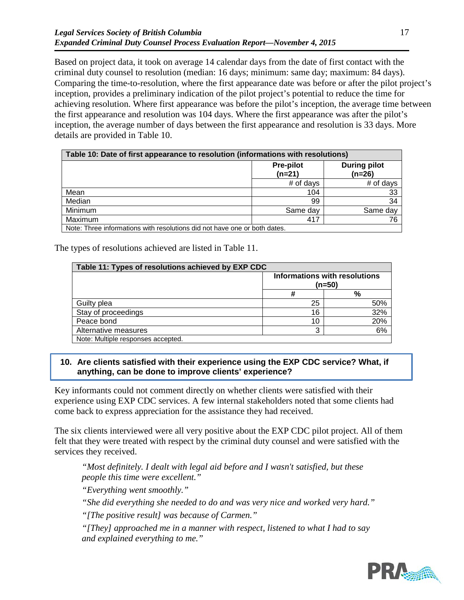Based on project data, it took on average 14 calendar days from the date of first contact with the criminal duty counsel to resolution (median: 16 days; minimum: same day; maximum: 84 days). Comparing the time-to-resolution, where the first appearance date was before or after the pilot project's inception, provides a preliminary indication of the pilot project's potential to reduce the time for achieving resolution. Where first appearance was before the pilot's inception, the average time between the first appearance and resolution was 104 days. Where the first appearance was after the pilot's inception, the average number of days between the first appearance and resolution is 33 days. More details are provided in [Table 10.](#page-20-0)

<span id="page-20-0"></span>

| Table 10: Date of first appearance to resolution (informations with resolutions) |                              |                                 |  |  |
|----------------------------------------------------------------------------------|------------------------------|---------------------------------|--|--|
|                                                                                  | <b>Pre-pilot</b><br>$(n=21)$ | <b>During pilot</b><br>$(n=26)$ |  |  |
|                                                                                  | # of days                    | # of days                       |  |  |
| Mean                                                                             | 104                          | -33                             |  |  |
| Median                                                                           | 99                           | 34                              |  |  |
| Minimum                                                                          | Same day                     | Same day                        |  |  |
| Maximum                                                                          | 417                          | 76                              |  |  |
| Note: Three informations with resolutions did not have one or both dates.        |                              |                                 |  |  |

The types of resolutions achieved are listed in [Table 11.](#page-20-1)

<span id="page-20-1"></span>

| Table 11: Types of resolutions achieved by EXP CDC |                                         |     |  |  |
|----------------------------------------------------|-----------------------------------------|-----|--|--|
|                                                    | Informations with resolutions<br>(n=50) |     |  |  |
|                                                    |                                         | %   |  |  |
| Guilty plea                                        | 25                                      | 50% |  |  |
| Stay of proceedings                                | 16                                      | 32% |  |  |
| Peace bond                                         | 10                                      | 20% |  |  |
| Alternative measures                               | າ                                       | 6%  |  |  |
| Note: Multiple responses accepted.                 |                                         |     |  |  |

#### **10. Are clients satisfied with their experience using the EXP CDC service? What, if anything, can be done to improve clients' experience?**

Key informants could not comment directly on whether clients were satisfied with their experience using EXP CDC services. A few internal stakeholders noted that some clients had come back to express appreciation for the assistance they had received.

The six clients interviewed were all very positive about the EXP CDC pilot project. All of them felt that they were treated with respect by the criminal duty counsel and were satisfied with the services they received.

*"Most definitely. I dealt with legal aid before and I wasn't satisfied, but these people this time were excellent."*

*"Everything went smoothly."*

*"She did everything she needed to do and was very nice and worked very hard."*

*"[The positive result] was because of Carmen."*

*"[They] approached me in a manner with respect, listened to what I had to say and explained everything to me."*

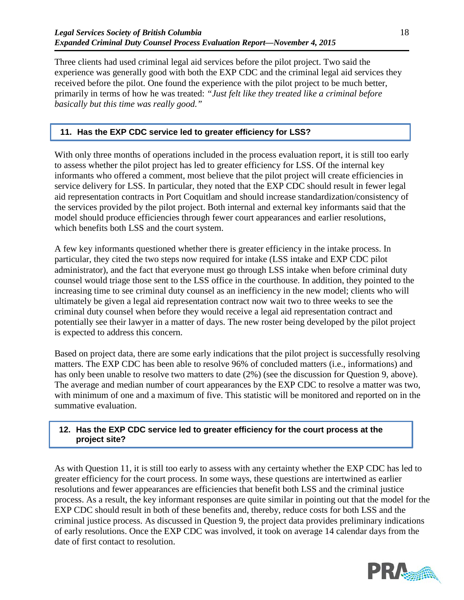Three clients had used criminal legal aid services before the pilot project. Two said the experience was generally good with both the EXP CDC and the criminal legal aid services they received before the pilot. One found the experience with the pilot project to be much better, primarily in terms of how he was treated: *"Just felt like they treated like a criminal before basically but this time was really good."*

#### **11. Has the EXP CDC service led to greater efficiency for LSS?**

With only three months of operations included in the process evaluation report, it is still too early to assess whether the pilot project has led to greater efficiency for LSS. Of the internal key informants who offered a comment, most believe that the pilot project will create efficiencies in service delivery for LSS. In particular, they noted that the EXP CDC should result in fewer legal aid representation contracts in Port Coquitlam and should increase standardization/consistency of the services provided by the pilot project. Both internal and external key informants said that the model should produce efficiencies through fewer court appearances and earlier resolutions, which benefits both LSS and the court system.

A few key informants questioned whether there is greater efficiency in the intake process. In particular, they cited the two steps now required for intake (LSS intake and EXP CDC pilot administrator), and the fact that everyone must go through LSS intake when before criminal duty counsel would triage those sent to the LSS office in the courthouse. In addition, they pointed to the increasing time to see criminal duty counsel as an inefficiency in the new model; clients who will ultimately be given a legal aid representation contract now wait two to three weeks to see the criminal duty counsel when before they would receive a legal aid representation contract and potentially see their lawyer in a matter of days. The new roster being developed by the pilot project is expected to address this concern.

Based on project data, there are some early indications that the pilot project is successfully resolving matters. The EXP CDC has been able to resolve 96% of concluded matters (i.e., informations) and has only been unable to resolve two matters to date (2%) (see the discussion for Question 9, above). The average and median number of court appearances by the EXP CDC to resolve a matter was two, with minimum of one and a maximum of five. This statistic will be monitored and reported on in the summative evaluation.

#### **12. Has the EXP CDC service led to greater efficiency for the court process at the project site?**

As with Question 11, it is still too early to assess with any certainty whether the EXP CDC has led to greater efficiency for the court process. In some ways, these questions are intertwined as earlier resolutions and fewer appearances are efficiencies that benefit both LSS and the criminal justice process. As a result, the key informant responses are quite similar in pointing out that the model for the EXP CDC should result in both of these benefits and, thereby, reduce costs for both LSS and the criminal justice process. As discussed in Question 9, the project data provides preliminary indications of early resolutions. Once the EXP CDC was involved, it took on average 14 calendar days from the date of first contact to resolution.

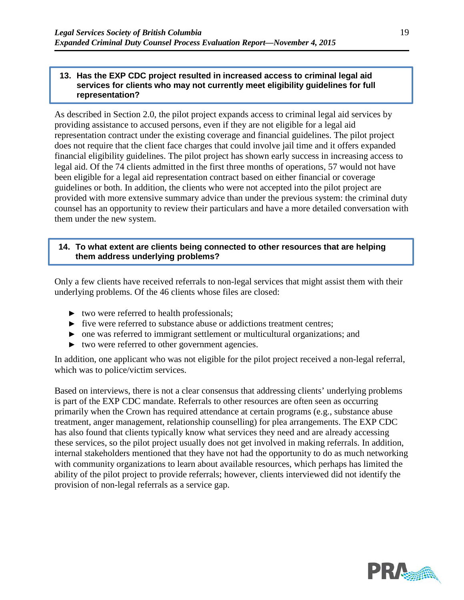#### **13. Has the EXP CDC project resulted in increased access to criminal legal aid services for clients who may not currently meet eligibility guidelines for full representation?**

As described in Section [2.0,](#page-4-2) the pilot project expands access to criminal legal aid services by providing assistance to accused persons, even if they are not eligible for a legal aid representation contract under the existing coverage and financial guidelines. The pilot project does not require that the client face charges that could involve jail time and it offers expanded financial eligibility guidelines. The pilot project has shown early success in increasing access to legal aid. Of the 74 clients admitted in the first three months of operations, 57 would not have been eligible for a legal aid representation contract based on either financial or coverage guidelines or both. In addition, the clients who were not accepted into the pilot project are provided with more extensive summary advice than under the previous system: the criminal duty counsel has an opportunity to review their particulars and have a more detailed conversation with them under the new system.

#### **14. To what extent are clients being connected to other resources that are helping them address underlying problems?**

Only a few clients have received referrals to non-legal services that might assist them with their underlying problems. Of the 46 clients whose files are closed:

- ► two were referred to health professionals;
- ► five were referred to substance abuse or addictions treatment centres;
- ► one was referred to immigrant settlement or multicultural organizations; and
- ► two were referred to other government agencies.

In addition, one applicant who was not eligible for the pilot project received a non-legal referral, which was to police/victim services.

Based on interviews, there is not a clear consensus that addressing clients' underlying problems is part of the EXP CDC mandate. Referrals to other resources are often seen as occurring primarily when the Crown has required attendance at certain programs (e.g., substance abuse treatment, anger management, relationship counselling) for plea arrangements. The EXP CDC has also found that clients typically know what services they need and are already accessing these services, so the pilot project usually does not get involved in making referrals. In addition, internal stakeholders mentioned that they have not had the opportunity to do as much networking with community organizations to learn about available resources, which perhaps has limited the ability of the pilot project to provide referrals; however, clients interviewed did not identify the provision of non-legal referrals as a service gap.

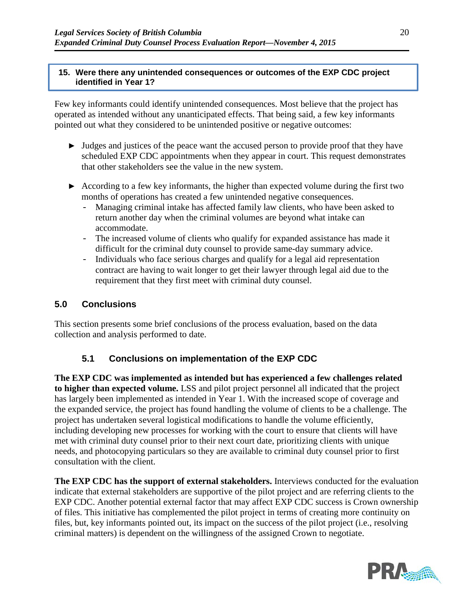#### **15. Were there any unintended consequences or outcomes of the EXP CDC project identified in Year 1?**

Few key informants could identify unintended consequences. Most believe that the project has operated as intended without any unanticipated effects. That being said, a few key informants pointed out what they considered to be unintended positive or negative outcomes:

- ► Judges and justices of the peace want the accused person to provide proof that they have scheduled EXP CDC appointments when they appear in court. This request demonstrates that other stakeholders see the value in the new system.
- ► According to a few key informants, the higher than expected volume during the first two months of operations has created a few unintended negative consequences.
	- Managing criminal intake has affected family law clients, who have been asked to return another day when the criminal volumes are beyond what intake can accommodate.
	- The increased volume of clients who qualify for expanded assistance has made it difficult for the criminal duty counsel to provide same-day summary advice.
	- Individuals who face serious charges and qualify for a legal aid representation contract are having to wait longer to get their lawyer through legal aid due to the requirement that they first meet with criminal duty counsel.

## **5.0 Conclusions**

This section presents some brief conclusions of the process evaluation, based on the data collection and analysis performed to date.

# **5.1 Conclusions on implementation of the EXP CDC**

**The EXP CDC was implemented as intended but has experienced a few challenges related to higher than expected volume.** LSS and pilot project personnel all indicated that the project has largely been implemented as intended in Year 1. With the increased scope of coverage and the expanded service, the project has found handling the volume of clients to be a challenge. The project has undertaken several logistical modifications to handle the volume efficiently, including developing new processes for working with the court to ensure that clients will have met with criminal duty counsel prior to their next court date, prioritizing clients with unique needs, and photocopying particulars so they are available to criminal duty counsel prior to first consultation with the client.

**The EXP CDC has the support of external stakeholders.** Interviews conducted for the evaluation indicate that external stakeholders are supportive of the pilot project and are referring clients to the EXP CDC. Another potential external factor that may affect EXP CDC success is Crown ownership of files. This initiative has complemented the pilot project in terms of creating more continuity on files, but, key informants pointed out, its impact on the success of the pilot project (i.e., resolving criminal matters) is dependent on the willingness of the assigned Crown to negotiate.

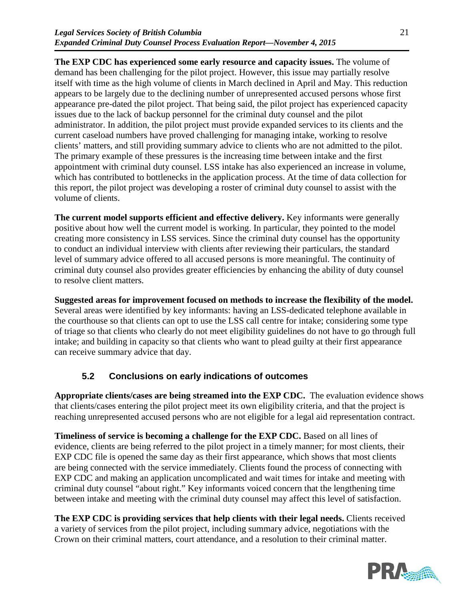**The EXP CDC has experienced some early resource and capacity issues.** The volume of demand has been challenging for the pilot project. However, this issue may partially resolve itself with time as the high volume of clients in March declined in April and May. This reduction appears to be largely due to the declining number of unrepresented accused persons whose first appearance pre-dated the pilot project. That being said, the pilot project has experienced capacity issues due to the lack of backup personnel for the criminal duty counsel and the pilot administrator. In addition, the pilot project must provide expanded services to its clients and the current caseload numbers have proved challenging for managing intake, working to resolve clients' matters, and still providing summary advice to clients who are not admitted to the pilot. The primary example of these pressures is the increasing time between intake and the first appointment with criminal duty counsel. LSS intake has also experienced an increase in volume, which has contributed to bottlenecks in the application process. At the time of data collection for this report, the pilot project was developing a roster of criminal duty counsel to assist with the volume of clients.

**The current model supports efficient and effective delivery.** Key informants were generally positive about how well the current model is working. In particular, they pointed to the model creating more consistency in LSS services. Since the criminal duty counsel has the opportunity to conduct an individual interview with clients after reviewing their particulars, the standard level of summary advice offered to all accused persons is more meaningful. The continuity of criminal duty counsel also provides greater efficiencies by enhancing the ability of duty counsel to resolve client matters.

**Suggested areas for improvement focused on methods to increase the flexibility of the model.**  Several areas were identified by key informants: having an LSS-dedicated telephone available in the courthouse so that clients can opt to use the LSS call centre for intake; considering some type of triage so that clients who clearly do not meet eligibility guidelines do not have to go through full intake; and building in capacity so that clients who want to plead guilty at their first appearance can receive summary advice that day.

# **5.2 Conclusions on early indications of outcomes**

**Appropriate clients/cases are being streamed into the EXP CDC.** The evaluation evidence shows that clients/cases entering the pilot project meet its own eligibility criteria, and that the project is reaching unrepresented accused persons who are not eligible for a legal aid representation contract.

**Timeliness of service is becoming a challenge for the EXP CDC.** Based on all lines of evidence, clients are being referred to the pilot project in a timely manner; for most clients, their EXP CDC file is opened the same day as their first appearance, which shows that most clients are being connected with the service immediately. Clients found the process of connecting with EXP CDC and making an application uncomplicated and wait times for intake and meeting with criminal duty counsel "about right." Key informants voiced concern that the lengthening time between intake and meeting with the criminal duty counsel may affect this level of satisfaction.

**The EXP CDC is providing services that help clients with their legal needs.** Clients received a variety of services from the pilot project, including summary advice, negotiations with the Crown on their criminal matters, court attendance, and a resolution to their criminal matter.

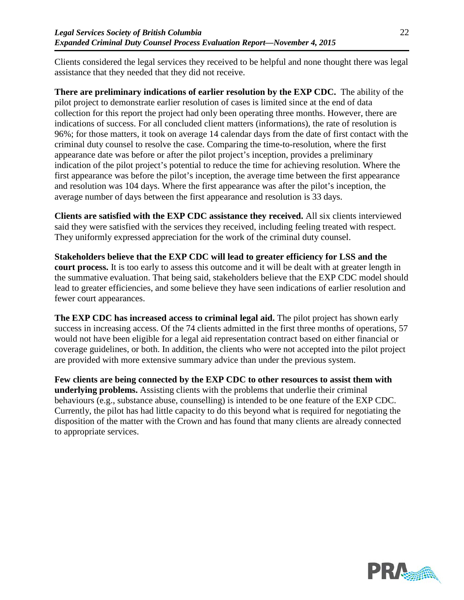Clients considered the legal services they received to be helpful and none thought there was legal assistance that they needed that they did not receive.

**There are preliminary indications of earlier resolution by the EXP CDC.** The ability of the pilot project to demonstrate earlier resolution of cases is limited since at the end of data collection for this report the project had only been operating three months. However, there are indications of success. For all concluded client matters (informations), the rate of resolution is 96%; for those matters, it took on average 14 calendar days from the date of first contact with the criminal duty counsel to resolve the case. Comparing the time-to-resolution, where the first appearance date was before or after the pilot project's inception, provides a preliminary indication of the pilot project's potential to reduce the time for achieving resolution. Where the first appearance was before the pilot's inception, the average time between the first appearance and resolution was 104 days. Where the first appearance was after the pilot's inception, the average number of days between the first appearance and resolution is 33 days.

**Clients are satisfied with the EXP CDC assistance they received.** All six clients interviewed said they were satisfied with the services they received, including feeling treated with respect. They uniformly expressed appreciation for the work of the criminal duty counsel.

**Stakeholders believe that the EXP CDC will lead to greater efficiency for LSS and the court process.** It is too early to assess this outcome and it will be dealt with at greater length in the summative evaluation. That being said, stakeholders believe that the EXP CDC model should lead to greater efficiencies, and some believe they have seen indications of earlier resolution and fewer court appearances.

**The EXP CDC has increased access to criminal legal aid.** The pilot project has shown early success in increasing access. Of the 74 clients admitted in the first three months of operations, 57 would not have been eligible for a legal aid representation contract based on either financial or coverage guidelines, or both. In addition, the clients who were not accepted into the pilot project are provided with more extensive summary advice than under the previous system.

**Few clients are being connected by the EXP CDC to other resources to assist them with underlying problems.** Assisting clients with the problems that underlie their criminal behaviours (e.g., substance abuse, counselling) is intended to be one feature of the EXP CDC. Currently, the pilot has had little capacity to do this beyond what is required for negotiating the disposition of the matter with the Crown and has found that many clients are already connected to appropriate services.

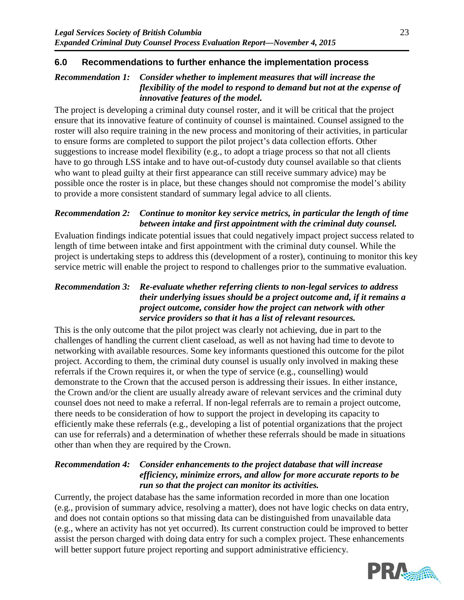## **6.0 Recommendations to further enhance the implementation process**

## *Recommendation 1: Consider whether to implement measures that will increase the flexibility of the model to respond to demand but not at the expense of innovative features of the model.*

The project is developing a criminal duty counsel roster, and it will be critical that the project ensure that its innovative feature of continuity of counsel is maintained. Counsel assigned to the roster will also require training in the new process and monitoring of their activities, in particular to ensure forms are completed to support the pilot project's data collection efforts. Other suggestions to increase model flexibility (e.g., to adopt a triage process so that not all clients have to go through LSS intake and to have out-of-custody duty counsel available so that clients who want to plead guilty at their first appearance can still receive summary advice) may be possible once the roster is in place, but these changes should not compromise the model's ability to provide a more consistent standard of summary legal advice to all clients.

### *Recommendation 2: Continue to monitor key service metrics, in particular the length of time between intake and first appointment with the criminal duty counsel.*

Evaluation findings indicate potential issues that could negatively impact project success related to length of time between intake and first appointment with the criminal duty counsel. While the project is undertaking steps to address this (development of a roster), continuing to monitor this key service metric will enable the project to respond to challenges prior to the summative evaluation.

## *Recommendation 3: Re-evaluate whether referring clients to non-legal services to address their underlying issues should be a project outcome and, if it remains a project outcome, consider how the project can network with other service providers so that it has a list of relevant resources.*

This is the only outcome that the pilot project was clearly not achieving, due in part to the challenges of handling the current client caseload, as well as not having had time to devote to networking with available resources. Some key informants questioned this outcome for the pilot project. According to them, the criminal duty counsel is usually only involved in making these referrals if the Crown requires it, or when the type of service (e.g., counselling) would demonstrate to the Crown that the accused person is addressing their issues. In either instance, the Crown and/or the client are usually already aware of relevant services and the criminal duty counsel does not need to make a referral. If non-legal referrals are to remain a project outcome, there needs to be consideration of how to support the project in developing its capacity to efficiently make these referrals (e.g., developing a list of potential organizations that the project can use for referrals) and a determination of whether these referrals should be made in situations other than when they are required by the Crown.

## *Recommendation 4: Consider enhancements to the project database that will increase efficiency, minimize errors, and allow for more accurate reports to be run so that the project can monitor its activities.*

Currently, the project database has the same information recorded in more than one location (e.g., provision of summary advice, resolving a matter), does not have logic checks on data entry, and does not contain options so that missing data can be distinguished from unavailable data (e.g., where an activity has not yet occurred). Its current construction could be improved to better assist the person charged with doing data entry for such a complex project. These enhancements will better support future project reporting and support administrative efficiency.

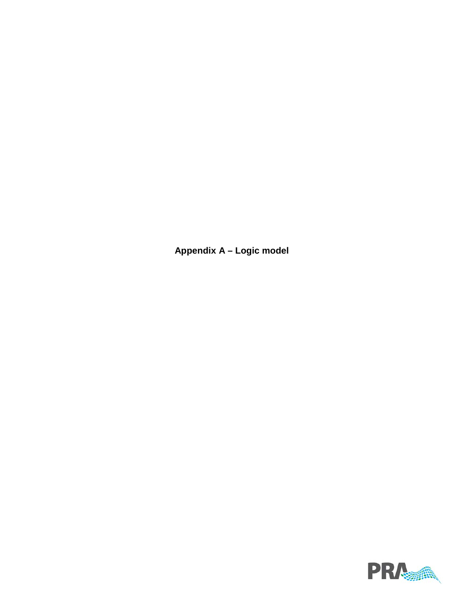**Appendix A – Logic model**

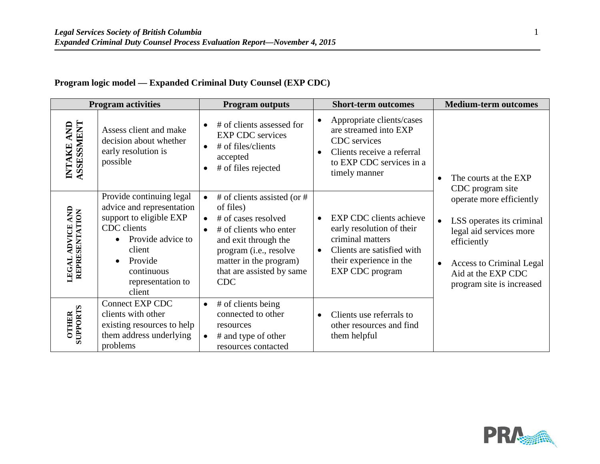## **Program logic model — Expanded Criminal Duty Counsel (EXP CDC)**

| <b>Program activities</b>                    |                                                                                                                                                                                                                  | <b>Program outputs</b>                                                                                                                                                                                           | <b>Short-term outcomes</b>                                                                                                                                                      | <b>Medium-term outcomes</b>                                                                                                                                                                        |  |
|----------------------------------------------|------------------------------------------------------------------------------------------------------------------------------------------------------------------------------------------------------------------|------------------------------------------------------------------------------------------------------------------------------------------------------------------------------------------------------------------|---------------------------------------------------------------------------------------------------------------------------------------------------------------------------------|----------------------------------------------------------------------------------------------------------------------------------------------------------------------------------------------------|--|
| ASSESSMENT<br>AND<br>INTAKE                  | Assess client and make<br>decision about whether<br>early resolution is<br>possible                                                                                                                              | # of clients assessed for<br><b>EXP CDC</b> services<br># of files/clients<br>accepted<br># of files rejected                                                                                                    | Appropriate clients/cases<br>are streamed into EXP<br>CDC services<br>Clients receive a referral<br>to EXP CDC services in a<br>timely manner                                   | The courts at the EXP<br>CDC program site                                                                                                                                                          |  |
| <b>ADVICE AND</b><br>REPRESENTATION<br>LEGAL | Provide continuing legal<br>advice and representation<br>support to eligible EXP<br>CDC clients<br>Provide advice to<br>$\bullet$<br>client<br>Provide<br>$\bullet$<br>continuous<br>representation to<br>client | # of clients assisted (or #<br>of files)<br># of cases resolved<br># of clients who enter<br>and exit through the<br>program (i.e., resolve<br>matter in the program)<br>that are assisted by same<br><b>CDC</b> | <b>EXP CDC</b> clients achieve<br>early resolution of their<br>criminal matters<br>Clients are satisfied with<br>$\bullet$<br>their experience in the<br><b>EXP CDC</b> program | operate more efficiently<br>LSS operates its criminal<br>$\bullet$<br>legal aid services more<br>efficiently<br><b>Access to Criminal Legal</b><br>Aid at the EXP CDC<br>program site is increased |  |
| <b>SUPPORTS</b><br><b>OTHER</b>              | <b>Connect EXP CDC</b><br>clients with other<br>existing resources to help<br>them address underlying<br>problems                                                                                                | # of clients being<br>$\bullet$<br>connected to other<br>resources<br># and type of other<br>resources contacted                                                                                                 | Clients use referrals to<br>other resources and find<br>them helpful                                                                                                            |                                                                                                                                                                                                    |  |

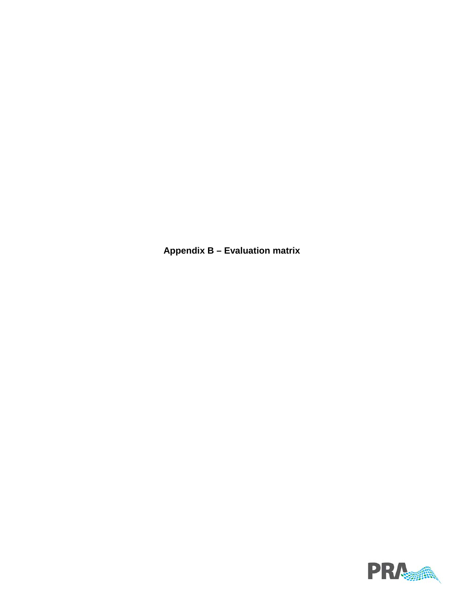**Appendix B – Evaluation matrix**

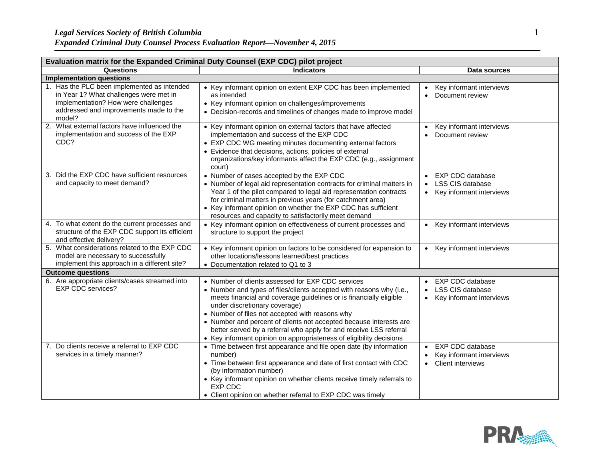| Evaluation matrix for the Expanded Criminal Duty Counsel (EXP CDC) pilot project                                                                                                 |                                                                                                                                                                                                                                                                                                                                                                                                                                                                                                        |                                                                                                                       |  |  |  |
|----------------------------------------------------------------------------------------------------------------------------------------------------------------------------------|--------------------------------------------------------------------------------------------------------------------------------------------------------------------------------------------------------------------------------------------------------------------------------------------------------------------------------------------------------------------------------------------------------------------------------------------------------------------------------------------------------|-----------------------------------------------------------------------------------------------------------------------|--|--|--|
| Questions                                                                                                                                                                        | <b>Indicators</b>                                                                                                                                                                                                                                                                                                                                                                                                                                                                                      | Data sources                                                                                                          |  |  |  |
|                                                                                                                                                                                  | <b>Implementation questions</b>                                                                                                                                                                                                                                                                                                                                                                                                                                                                        |                                                                                                                       |  |  |  |
| 1. Has the PLC been implemented as intended<br>in Year 1? What challenges were met in<br>implementation? How were challenges<br>addressed and improvements made to the<br>model? | • Key informant opinion on extent EXP CDC has been implemented<br>as intended<br>• Key informant opinion on challenges/improvements<br>• Decision-records and timelines of changes made to improve model                                                                                                                                                                                                                                                                                               | Key informant interviews<br>$\bullet$<br>Document review<br>$\bullet$                                                 |  |  |  |
| 2. What external factors have influenced the<br>implementation and success of the EXP<br>CDC?                                                                                    | • Key informant opinion on external factors that have affected<br>implementation and success of the EXP CDC<br>• EXP CDC WG meeting minutes documenting external factors<br>• Evidence that decisions, actions, policies of external<br>organizations/key informants affect the EXP CDC (e.g., assignment<br>court)                                                                                                                                                                                    | Key informant interviews<br>$\bullet$<br>Document review                                                              |  |  |  |
| 3. Did the EXP CDC have sufficient resources<br>and capacity to meet demand?                                                                                                     | • Number of cases accepted by the EXP CDC<br>• Number of legal aid representation contracts for criminal matters in<br>Year 1 of the pilot compared to legal aid representation contracts<br>for criminal matters in previous years (for catchment area)<br>• Key informant opinion on whether the EXP CDC has sufficient<br>resources and capacity to satisfactorily meet demand                                                                                                                      | <b>EXP CDC database</b><br>$\bullet$<br><b>LSS CIS database</b><br>$\bullet$<br>Key informant interviews<br>$\bullet$ |  |  |  |
| 4. To what extent do the current processes and<br>structure of the EXP CDC support its efficient<br>and effective delivery?                                                      | • Key informant opinion on effectiveness of current processes and<br>structure to support the project                                                                                                                                                                                                                                                                                                                                                                                                  | Key informant interviews<br>$\bullet$                                                                                 |  |  |  |
| 5. What considerations related to the EXP CDC<br>model are necessary to successfully<br>implement this approach in a different site?                                             | • Key informant opinion on factors to be considered for expansion to<br>other locations/lessons learned/best practices<br>• Documentation related to Q1 to 3                                                                                                                                                                                                                                                                                                                                           | Key informant interviews<br>$\bullet$                                                                                 |  |  |  |
| <b>Outcome questions</b>                                                                                                                                                         |                                                                                                                                                                                                                                                                                                                                                                                                                                                                                                        |                                                                                                                       |  |  |  |
| 6. Are appropriate clients/cases streamed into<br><b>EXP CDC services?</b>                                                                                                       | • Number of clients assessed for EXP CDC services<br>• Number and types of files/clients accepted with reasons why (i.e.,<br>meets financial and coverage guidelines or is financially eligible<br>under discretionary coverage)<br>• Number of files not accepted with reasons why<br>• Number and percent of clients not accepted because interests are<br>better served by a referral who apply for and receive LSS referral<br>• Key informant opinion on appropriateness of eligibility decisions | <b>EXP CDC database</b><br><b>LSS CIS database</b><br>$\bullet$<br>Key informant interviews<br>$\bullet$              |  |  |  |
| 7. Do clients receive a referral to EXP CDC<br>services in a timely manner?                                                                                                      | • Time between first appearance and file open date (by information<br>number)<br>• Time between first appearance and date of first contact with CDC<br>(by information number)<br>• Key informant opinion on whether clients receive timely referrals to<br><b>EXP CDC</b><br>• Client opinion on whether referral to EXP CDC was timely                                                                                                                                                               | <b>EXP CDC database</b><br>Key informant interviews<br><b>Client interviews</b><br>$\bullet$                          |  |  |  |

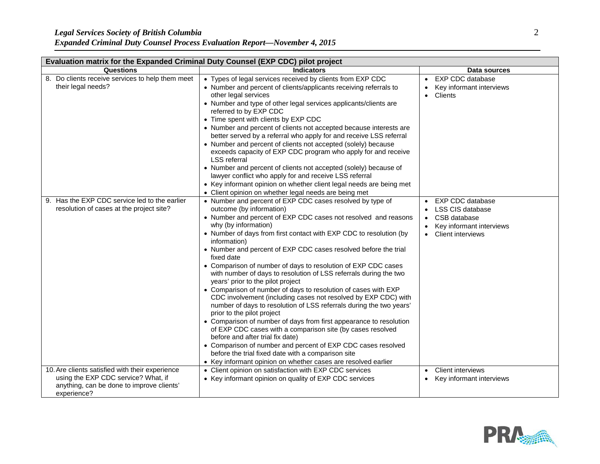|  | <b>Expanded Criminal Duty Counsel Process Evaluation Report-November 4, 2015</b> |  |  |
|--|----------------------------------------------------------------------------------|--|--|
|  |                                                                                  |  |  |

| Evaluation matrix for the Expanded Criminal Duty Counsel (EXP CDC) pilot project                                                                   |                                                                                                                                                                                                                                                                                                                                                                                                                                                                                                                                                                                                                                                                                                                                                                                                                                                                                                                                                                                                                                                                                                                                           |                                                                                                                                         |  |  |
|----------------------------------------------------------------------------------------------------------------------------------------------------|-------------------------------------------------------------------------------------------------------------------------------------------------------------------------------------------------------------------------------------------------------------------------------------------------------------------------------------------------------------------------------------------------------------------------------------------------------------------------------------------------------------------------------------------------------------------------------------------------------------------------------------------------------------------------------------------------------------------------------------------------------------------------------------------------------------------------------------------------------------------------------------------------------------------------------------------------------------------------------------------------------------------------------------------------------------------------------------------------------------------------------------------|-----------------------------------------------------------------------------------------------------------------------------------------|--|--|
| Questions                                                                                                                                          | <b>Indicators</b>                                                                                                                                                                                                                                                                                                                                                                                                                                                                                                                                                                                                                                                                                                                                                                                                                                                                                                                                                                                                                                                                                                                         | Data sources                                                                                                                            |  |  |
| 8. Do clients receive services to help them meet<br>their legal needs?                                                                             | • Types of legal services received by clients from EXP CDC<br>• Number and percent of clients/applicants receiving referrals to<br>other legal services<br>• Number and type of other legal services applicants/clients are<br>referred to by EXP CDC<br>• Time spent with clients by EXP CDC<br>• Number and percent of clients not accepted because interests are<br>better served by a referral who apply for and receive LSS referral<br>• Number and percent of clients not accepted (solely) because<br>exceeds capacity of EXP CDC program who apply for and receive<br><b>LSS</b> referral<br>• Number and percent of clients not accepted (solely) because of<br>lawyer conflict who apply for and receive LSS referral<br>• Key informant opinion on whether client legal needs are being met<br>• Client opinion on whether legal needs are being met                                                                                                                                                                                                                                                                          | EXP CDC database<br>Key informant interviews<br>Clients<br>$\bullet$                                                                    |  |  |
| 9. Has the EXP CDC service led to the earlier<br>resolution of cases at the project site?                                                          | • Number and percent of EXP CDC cases resolved by type of<br>outcome (by information)<br>• Number and percent of EXP CDC cases not resolved and reasons<br>why (by information)<br>• Number of days from first contact with EXP CDC to resolution (by<br>information)<br>• Number and percent of EXP CDC cases resolved before the trial<br>fixed date<br>• Comparison of number of days to resolution of EXP CDC cases<br>with number of days to resolution of LSS referrals during the two<br>years' prior to the pilot project<br>• Comparison of number of days to resolution of cases with EXP<br>CDC involvement (including cases not resolved by EXP CDC) with<br>number of days to resolution of LSS referrals during the two years'<br>prior to the pilot project<br>• Comparison of number of days from first appearance to resolution<br>of EXP CDC cases with a comparison site (by cases resolved<br>before and after trial fix date)<br>• Comparison of number and percent of EXP CDC cases resolved<br>before the trial fixed date with a comparison site<br>• Key informant opinion on whether cases are resolved earlier | <b>EXP CDC database</b><br><b>LSS CIS database</b><br>CSB database<br>$\bullet$<br>Key informant interviews<br><b>Client interviews</b> |  |  |
| 10. Are clients satisfied with their experience<br>using the EXP CDC service? What, if<br>anything, can be done to improve clients'<br>experience? | • Client opinion on satisfaction with EXP CDC services<br>• Key informant opinion on quality of EXP CDC services                                                                                                                                                                                                                                                                                                                                                                                                                                                                                                                                                                                                                                                                                                                                                                                                                                                                                                                                                                                                                          | <b>Client interviews</b><br>$\bullet$<br>Key informant interviews<br>$\bullet$                                                          |  |  |

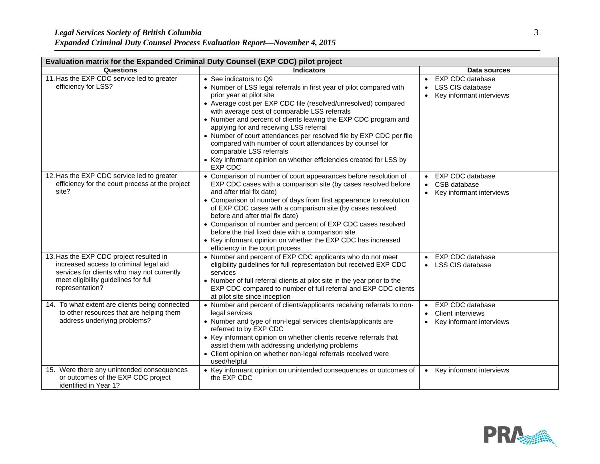|  |  | <b>Expanded Criminal Duty Counsel Process Evaluation Report-November 4, 2015</b> |
|--|--|----------------------------------------------------------------------------------|
|  |  |                                                                                  |

| Evaluation matrix for the Expanded Criminal Duty Counsel (EXP CDC) pilot project                                                                                                           |                                                                                                                                                                                                                                                                                                                                                                                                                                                                                                                                                                                                                    |                                                                                                    |  |  |
|--------------------------------------------------------------------------------------------------------------------------------------------------------------------------------------------|--------------------------------------------------------------------------------------------------------------------------------------------------------------------------------------------------------------------------------------------------------------------------------------------------------------------------------------------------------------------------------------------------------------------------------------------------------------------------------------------------------------------------------------------------------------------------------------------------------------------|----------------------------------------------------------------------------------------------------|--|--|
| Questions                                                                                                                                                                                  | <b>Indicators</b>                                                                                                                                                                                                                                                                                                                                                                                                                                                                                                                                                                                                  | Data sources                                                                                       |  |  |
| 11. Has the EXP CDC service led to greater<br>efficiency for LSS?                                                                                                                          | • See indicators to Q9<br>• Number of LSS legal referrals in first year of pilot compared with<br>prior year at pilot site<br>• Average cost per EXP CDC file (resolved/unresolved) compared<br>with average cost of comparable LSS referrals<br>• Number and percent of clients leaving the EXP CDC program and<br>applying for and receiving LSS referral<br>• Number of court attendances per resolved file by EXP CDC per file<br>compared with number of court attendances by counsel for<br>comparable LSS referrals<br>• Key informant opinion on whether efficiencies created for LSS by<br><b>EXP CDC</b> | <b>EXP CDC database</b><br><b>LSS CIS database</b><br>Key informant interviews<br>$\bullet$        |  |  |
| 12. Has the EXP CDC service led to greater<br>efficiency for the court process at the project<br>site?                                                                                     | • Comparison of number of court appearances before resolution of<br>EXP CDC cases with a comparison site (by cases resolved before<br>and after trial fix date)<br>• Comparison of number of days from first appearance to resolution<br>of EXP CDC cases with a comparison site (by cases resolved<br>before and after trial fix date)<br>• Comparison of number and percent of EXP CDC cases resolved<br>before the trial fixed date with a comparison site<br>• Key informant opinion on whether the EXP CDC has increased<br>efficiency in the court process                                                   | <b>EXP CDC database</b><br>CSB database<br>$\bullet$<br>Key informant interviews                   |  |  |
| 13. Has the EXP CDC project resulted in<br>increased access to criminal legal aid<br>services for clients who may not currently<br>meet eligibility guidelines for full<br>representation? | • Number and percent of EXP CDC applicants who do not meet<br>eligibility guidelines for full representation but received EXP CDC<br>services<br>• Number of full referral clients at pilot site in the year prior to the<br>EXP CDC compared to number of full referral and EXP CDC clients<br>at pilot site since inception                                                                                                                                                                                                                                                                                      | <b>EXP CDC database</b><br>$\bullet$<br>LSS CIS database                                           |  |  |
| 14. To what extent are clients being connected<br>to other resources that are helping them<br>address underlying problems?                                                                 | • Number and percent of clients/applicants receiving referrals to non-<br>legal services<br>• Number and type of non-legal services clients/applicants are<br>referred to by EXP CDC<br>• Key informant opinion on whether clients receive referrals that<br>assist them with addressing underlying problems<br>• Client opinion on whether non-legal referrals received were<br>used/helpful                                                                                                                                                                                                                      | <b>EXP CDC database</b><br>Client interviews<br>$\bullet$<br>Key informant interviews<br>$\bullet$ |  |  |
| 15. Were there any unintended consequences<br>or outcomes of the EXP CDC project<br>identified in Year 1?                                                                                  | • Key informant opinion on unintended consequences or outcomes of<br>the EXP CDC                                                                                                                                                                                                                                                                                                                                                                                                                                                                                                                                   | Key informant interviews<br>$\bullet$                                                              |  |  |

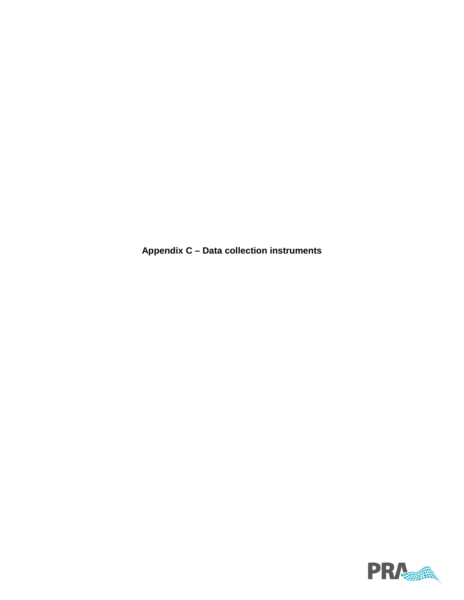**Appendix C – Data collection instruments**

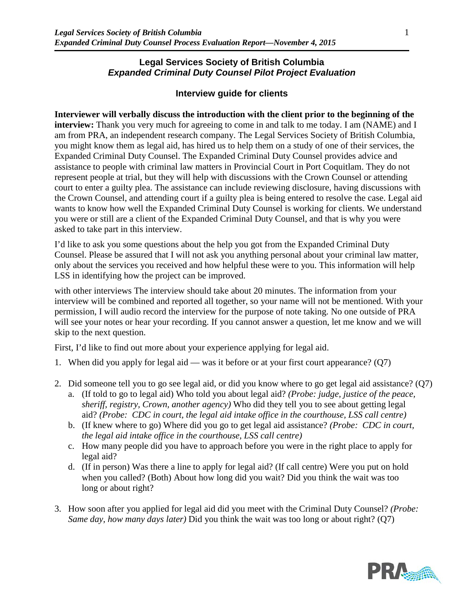### **Legal Services Society of British Columbia** *Expanded Criminal Duty Counsel Pilot Project Evaluation*

### **Interview guide for clients**

#### **Interviewer will verbally discuss the introduction with the client prior to the beginning of the**

**interview:** Thank you very much for agreeing to come in and talk to me today. I am (NAME) and I am from PRA, an independent research company. The Legal Services Society of British Columbia, you might know them as legal aid, has hired us to help them on a study of one of their services, the Expanded Criminal Duty Counsel. The Expanded Criminal Duty Counsel provides advice and assistance to people with criminal law matters in Provincial Court in Port Coquitlam. They do not represent people at trial, but they will help with discussions with the Crown Counsel or attending court to enter a guilty plea. The assistance can include reviewing disclosure, having discussions with the Crown Counsel, and attending court if a guilty plea is being entered to resolve the case. Legal aid wants to know how well the Expanded Criminal Duty Counsel is working for clients. We understand you were or still are a client of the Expanded Criminal Duty Counsel, and that is why you were asked to take part in this interview.

I'd like to ask you some questions about the help you got from the Expanded Criminal Duty Counsel. Please be assured that I will not ask you anything personal about your criminal law matter, only about the services you received and how helpful these were to you. This information will help LSS in identifying how the project can be improved.

with other interviews The interview should take about 20 minutes. The information from your interview will be combined and reported all together, so your name will not be mentioned. With your permission, I will audio record the interview for the purpose of note taking. No one outside of PRA will see your notes or hear your recording. If you cannot answer a question, let me know and we will skip to the next question.

First, I'd like to find out more about your experience applying for legal aid.

- 1. When did you apply for legal aid was it before or at your first court appearance? (Q7)
- 2. Did someone tell you to go see legal aid, or did you know where to go get legal aid assistance? (Q7)
	- a. (If told to go to legal aid) Who told you about legal aid? *(Probe: judge, justice of the peace, sheriff, registry, Crown, another agency)* Who did they tell you to see about getting legal aid? *(Probe: CDC in court, the legal aid intake office in the courthouse, LSS call centre)*
	- b. (If knew where to go) Where did you go to get legal aid assistance? *(Probe: CDC in court, the legal aid intake office in the courthouse, LSS call centre)*
	- c. How many people did you have to approach before you were in the right place to apply for legal aid?
	- d. (If in person) Was there a line to apply for legal aid? (If call centre) Were you put on hold when you called? (Both) About how long did you wait? Did you think the wait was too long or about right?
- 3. How soon after you applied for legal aid did you meet with the Criminal Duty Counsel? *(Probe: Same day, how many days later)* Did you think the wait was too long or about right? (Q7)

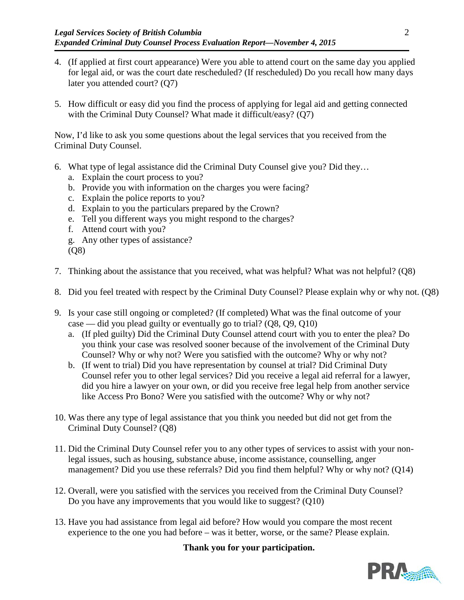- 4. (If applied at first court appearance) Were you able to attend court on the same day you applied for legal aid, or was the court date rescheduled? (If rescheduled) Do you recall how many days later you attended court? (Q7)
- 5. How difficult or easy did you find the process of applying for legal aid and getting connected with the Criminal Duty Counsel? What made it difficult/easy? (Q7)

Now, I'd like to ask you some questions about the legal services that you received from the Criminal Duty Counsel.

- 6. What type of legal assistance did the Criminal Duty Counsel give you? Did they…
	- a. Explain the court process to you?
	- b. Provide you with information on the charges you were facing?
	- c. Explain the police reports to you?
	- d. Explain to you the particulars prepared by the Crown?
	- e. Tell you different ways you might respond to the charges?
	- f. Attend court with you?
	- g. Any other types of assistance?
	- (Q8)
- 7. Thinking about the assistance that you received, what was helpful? What was not helpful? (Q8)
- 8. Did you feel treated with respect by the Criminal Duty Counsel? Please explain why or why not. (Q8)
- 9. Is your case still ongoing or completed? (If completed) What was the final outcome of your case — did you plead guilty or eventually go to trial? (Q8, Q9, Q10)
	- a. (If pled guilty) Did the Criminal Duty Counsel attend court with you to enter the plea? Do you think your case was resolved sooner because of the involvement of the Criminal Duty Counsel? Why or why not? Were you satisfied with the outcome? Why or why not?
	- b. (If went to trial) Did you have representation by counsel at trial? Did Criminal Duty Counsel refer you to other legal services? Did you receive a legal aid referral for a lawyer, did you hire a lawyer on your own, or did you receive free legal help from another service like Access Pro Bono? Were you satisfied with the outcome? Why or why not?
- 10. Was there any type of legal assistance that you think you needed but did not get from the Criminal Duty Counsel? (Q8)
- 11. Did the Criminal Duty Counsel refer you to any other types of services to assist with your nonlegal issues, such as housing, substance abuse, income assistance, counselling, anger management? Did you use these referrals? Did you find them helpful? Why or why not? (Q14)
- 12. Overall, were you satisfied with the services you received from the Criminal Duty Counsel? Do you have any improvements that you would like to suggest? (Q10)
- 13. Have you had assistance from legal aid before? How would you compare the most recent experience to the one you had before – was it better, worse, or the same? Please explain.

**Thank you for your participation.**

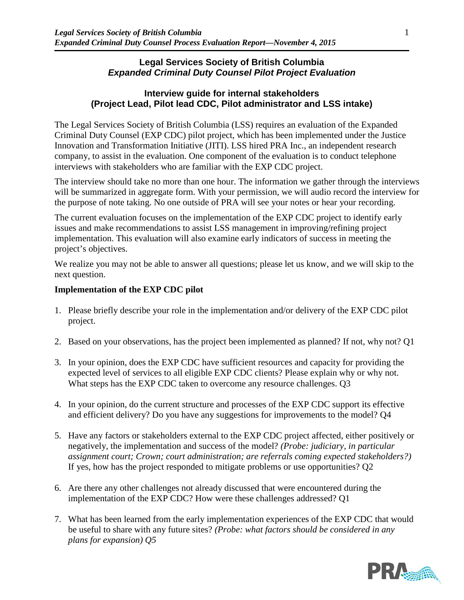### **Legal Services Society of British Columbia** *Expanded Criminal Duty Counsel Pilot Project Evaluation*

### **Interview guide for internal stakeholders (Project Lead, Pilot lead CDC, Pilot administrator and LSS intake)**

The Legal Services Society of British Columbia (LSS) requires an evaluation of the Expanded Criminal Duty Counsel (EXP CDC) pilot project, which has been implemented under the Justice Innovation and Transformation Initiative (JITI). LSS hired PRA Inc., an independent research company, to assist in the evaluation. One component of the evaluation is to conduct telephone interviews with stakeholders who are familiar with the EXP CDC project.

The interview should take no more than one hour. The information we gather through the interviews will be summarized in aggregate form. With your permission, we will audio record the interview for the purpose of note taking. No one outside of PRA will see your notes or hear your recording.

The current evaluation focuses on the implementation of the EXP CDC project to identify early issues and make recommendations to assist LSS management in improving/refining project implementation. This evaluation will also examine early indicators of success in meeting the project's objectives.

We realize you may not be able to answer all questions; please let us know, and we will skip to the next question.

## **Implementation of the EXP CDC pilot**

- 1. Please briefly describe your role in the implementation and/or delivery of the EXP CDC pilot project.
- 2. Based on your observations, has the project been implemented as planned? If not, why not? Q1
- 3. In your opinion, does the EXP CDC have sufficient resources and capacity for providing the expected level of services to all eligible EXP CDC clients? Please explain why or why not. What steps has the EXP CDC taken to overcome any resource challenges. Q3
- 4. In your opinion, do the current structure and processes of the EXP CDC support its effective and efficient delivery? Do you have any suggestions for improvements to the model? Q4
- 5. Have any factors or stakeholders external to the EXP CDC project affected, either positively or negatively, the implementation and success of the model? *(Probe: judiciary, in particular assignment court; Crown; court administration; are referrals coming expected stakeholders?)*  If yes, how has the project responded to mitigate problems or use opportunities? Q2
- 6. Are there any other challenges not already discussed that were encountered during the implementation of the EXP CDC? How were these challenges addressed? Q1
- 7. What has been learned from the early implementation experiences of the EXP CDC that would be useful to share with any future sites? *(Probe: what factors should be considered in any plans for expansion) Q5*

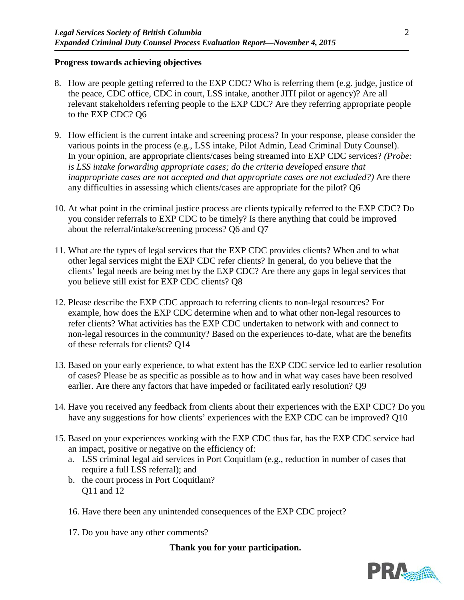### **Progress towards achieving objectives**

- 8. How are people getting referred to the EXP CDC? Who is referring them (e.g. judge, justice of the peace, CDC office, CDC in court, LSS intake, another JITI pilot or agency)? Are all relevant stakeholders referring people to the EXP CDC? Are they referring appropriate people to the EXP CDC? Q6
- 9. How efficient is the current intake and screening process? In your response, please consider the various points in the process (e.g., LSS intake, Pilot Admin, Lead Criminal Duty Counsel). In your opinion, are appropriate clients/cases being streamed into EXP CDC services? *(Probe: is LSS intake forwarding appropriate cases; do the criteria developed ensure that inappropriate cases are not accepted and that appropriate cases are not excluded?)* Are there any difficulties in assessing which clients/cases are appropriate for the pilot? Q6
- 10. At what point in the criminal justice process are clients typically referred to the EXP CDC? Do you consider referrals to EXP CDC to be timely? Is there anything that could be improved about the referral/intake/screening process? Q6 and Q7
- 11. What are the types of legal services that the EXP CDC provides clients? When and to what other legal services might the EXP CDC refer clients? In general, do you believe that the clients' legal needs are being met by the EXP CDC? Are there any gaps in legal services that you believe still exist for EXP CDC clients? Q8
- 12. Please describe the EXP CDC approach to referring clients to non-legal resources? For example, how does the EXP CDC determine when and to what other non-legal resources to refer clients? What activities has the EXP CDC undertaken to network with and connect to non-legal resources in the community? Based on the experiences to-date, what are the benefits of these referrals for clients? Q14
- 13. Based on your early experience, to what extent has the EXP CDC service led to earlier resolution of cases? Please be as specific as possible as to how and in what way cases have been resolved earlier. Are there any factors that have impeded or facilitated early resolution? Q9
- 14. Have you received any feedback from clients about their experiences with the EXP CDC? Do you have any suggestions for how clients' experiences with the EXP CDC can be improved? Q10
- 15. Based on your experiences working with the EXP CDC thus far, has the EXP CDC service had an impact, positive or negative on the efficiency of:
	- a. LSS criminal legal aid services in Port Coquitlam (e.g., reduction in number of cases that require a full LSS referral); and
	- b. the court process in Port Coquitlam? Q11 and 12
	- 16. Have there been any unintended consequences of the EXP CDC project?
	- 17. Do you have any other comments?

## **Thank you for your participation.**

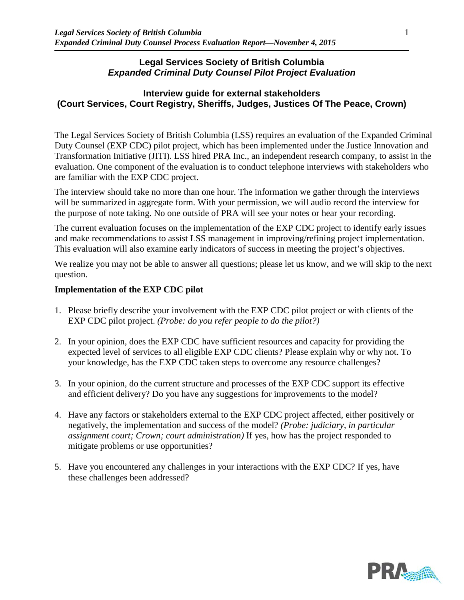### **Legal Services Society of British Columbia** *Expanded Criminal Duty Counsel Pilot Project Evaluation*

## **Interview guide for external stakeholders (Court Services, Court Registry, Sheriffs, Judges, Justices Of The Peace, Crown)**

The Legal Services Society of British Columbia (LSS) requires an evaluation of the Expanded Criminal Duty Counsel (EXP CDC) pilot project, which has been implemented under the Justice Innovation and Transformation Initiative (JITI). LSS hired PRA Inc., an independent research company, to assist in the evaluation. One component of the evaluation is to conduct telephone interviews with stakeholders who are familiar with the EXP CDC project.

The interview should take no more than one hour. The information we gather through the interviews will be summarized in aggregate form. With your permission, we will audio record the interview for the purpose of note taking. No one outside of PRA will see your notes or hear your recording.

The current evaluation focuses on the implementation of the EXP CDC project to identify early issues and make recommendations to assist LSS management in improving/refining project implementation. This evaluation will also examine early indicators of success in meeting the project's objectives.

We realize you may not be able to answer all questions; please let us know, and we will skip to the next question.

### **Implementation of the EXP CDC pilot**

- 1. Please briefly describe your involvement with the EXP CDC pilot project or with clients of the EXP CDC pilot project. *(Probe: do you refer people to do the pilot?)*
- 2. In your opinion, does the EXP CDC have sufficient resources and capacity for providing the expected level of services to all eligible EXP CDC clients? Please explain why or why not. To your knowledge, has the EXP CDC taken steps to overcome any resource challenges?
- 3. In your opinion, do the current structure and processes of the EXP CDC support its effective and efficient delivery? Do you have any suggestions for improvements to the model?
- 4. Have any factors or stakeholders external to the EXP CDC project affected, either positively or negatively, the implementation and success of the model? *(Probe: judiciary, in particular assignment court; Crown; court administration)* If yes, how has the project responded to mitigate problems or use opportunities?
- 5. Have you encountered any challenges in your interactions with the EXP CDC? If yes, have these challenges been addressed?